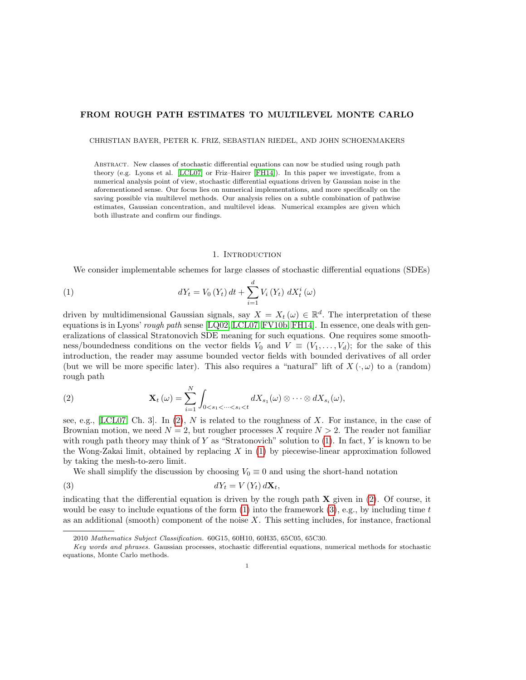# FROM ROUGH PATH ESTIMATES TO MULTILEVEL MONTE CARLO

CHRISTIAN BAYER, PETER K. FRIZ, SEBASTIAN RIEDEL, AND JOHN SCHOENMAKERS

Abstract. New classes of stochastic differential equations can now be studied using rough path theory (e.g. Lyons et al. [\[LCL07\]](#page-32-0) or Friz–Hairer [\[FH14\]](#page-31-0)). In this paper we investigate, from a numerical analysis point of view, stochastic differential equations driven by Gaussian noise in the aforementioned sense. Our focus lies on numerical implementations, and more specifically on the saving possible via multilevel methods. Our analysis relies on a subtle combination of pathwise estimates, Gaussian concentration, and multilevel ideas. Numerical examples are given which both illustrate and confirm our findings.

# <span id="page-0-1"></span>1. INTRODUCTION

We consider implementable schemes for large classes of stochastic differential equations (SDEs)

(1) 
$$
dY_{t} = V_{0} (Y_{t}) dt + \sum_{i=1}^{d} V_{i} (Y_{t}) dX_{t}^{i} (\omega)
$$

driven by multidimensional Gaussian signals, say  $X = X_t(\omega) \in \mathbb{R}^d$ . The interpretation of these equations is in Lyons' rough path sense  $[LQ02, LCL07, FV10b, FH14]$  $[LQ02, LCL07, FV10b, FH14]$  $[LQ02, LCL07, FV10b, FH14]$  $[LQ02, LCL07, FV10b, FH14]$ . In essence, one deals with generalizations of classical Stratonovich SDE meaning for such equations. One requires some smoothness/boundedness conditions on the vector fields  $V_0$  and  $V \equiv (V_1, \ldots, V_d)$ ; for the sake of this introduction, the reader may assume bounded vector fields with bounded derivatives of all order (but we will be more specific later). This also requires a "natural" lift of  $X(\cdot,\omega)$  to a (random) rough path

<span id="page-0-0"></span>(2) 
$$
\mathbf{X}_t(\omega) = \sum_{i=1}^N \int_{0 < s_1 < \cdots < s_i < t} dX_{s_1}(\omega) \otimes \cdots \otimes dX_{s_i}(\omega),
$$

see, e.g., [\[LCL07,](#page-32-0) Ch. 3]. In [\(2\)](#page-0-0), N is related to the roughness of X. For instance, in the case of Brownian motion, we need  $N = 2$ , but rougher processes X require  $N > 2$ . The reader not familiar with rough path theory may think of Y as "Stratonovich" solution to  $(1)$ . In fact, Y is known to be the Wong-Zakai limit, obtained by replacing  $X$  in [\(1\)](#page-0-1) by piecewise-linear approximation followed by taking the mesh-to-zero limit.

<span id="page-0-2"></span>We shall simplify the discussion by choosing  $V_0 \equiv 0$  and using the short-hand notation

$$
dY_t = V(Y_t) d\mathbf{X}_t,
$$

indicating that the differential equation is driven by the rough path  $X$  given in [\(2\)](#page-0-0). Of course, it would be easy to include equations of the form  $(1)$  into the framework  $(3)$ , e.g., by including time t as an additional (smooth) component of the noise  $X$ . This setting includes, for instance, fractional

<sup>2010</sup> Mathematics Subject Classification. 60G15, 60H10, 60H35, 65C05, 65C30.

Key words and phrases. Gaussian processes, stochastic differential equations, numerical methods for stochastic equations, Monte Carlo methods.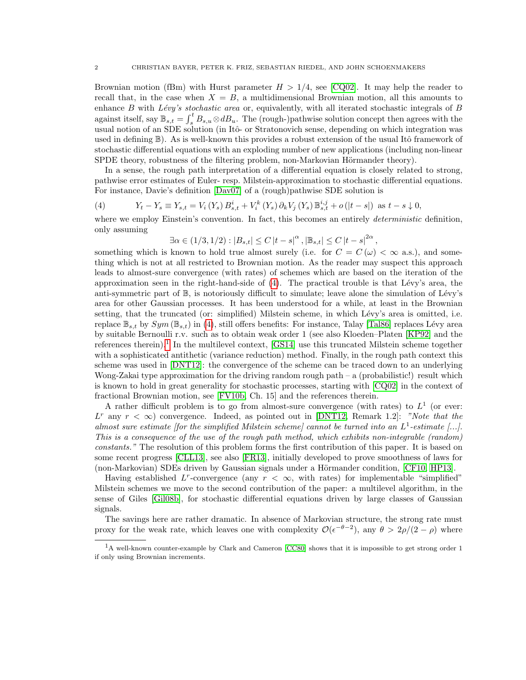Brownian motion (fBm) with Hurst parameter  $H > 1/4$ , see [\[CQ02\]](#page-31-1). It may help the reader to recall that, in the case when  $X = B$ , a multidimensional Brownian motion, all this amounts to enhance  $B$  with  $Lévy's stochastic area$  or, equivalently, with all iterated stochastic integrals of  $B$ against itself, say  $\mathbb{B}_{s,t} = \int_s^t B_{s,u} \otimes dB_u$ . The (rough-)pathwise solution concept then agrees with the usual notion of an SDE solution (in Itô- or Stratonovich sense, depending on which integration was used in defining  $\mathbb{B}$ ). As is well-known this provides a robust extension of the usual Itô framework of stochastic differential equations with an exploding number of new applications (including non-linear SPDE theory, robustness of the filtering problem, non-Markovian Hörmander theory).

In a sense, the rough path interpretation of a differential equation is closely related to strong, pathwise error estimates of Euler- resp. Milstein-approximation to stochastic differential equations. For instance, Davie's definition [\[Dav07\]](#page-31-2) of a (rough)pathwise SDE solution is

<span id="page-1-0"></span>(4) 
$$
Y_t - Y_s \equiv Y_{s,t} = V_i(Y_s) B_{s,t}^i + V_i^k(Y_s) \partial_k V_j(Y_s) \mathbb{B}_{s,t}^{i,j} + o(|t-s|) \text{ as } t-s \downarrow 0,
$$

where we employ Einstein's convention. In fact, this becomes an entirely *deterministic* definition, only assuming

$$
\exists \alpha \in (1/3, 1/2) : |B_{s,t}| \le C |t-s|^{\alpha}, |\mathbb{B}_{s,t}| \le C |t-s|^{2\alpha},
$$

something which is known to hold true almost surely (i.e. for  $C = C(\omega) < \infty$  a.s.), and something which is not at all restricted to Brownian motion. As the reader may suspect this approach leads to almost-sure convergence (with rates) of schemes which are based on the iteration of the approximation seen in the right-hand-side of  $(4)$ . The practical trouble is that Lévy's area, the anti-symmetric part of  $\mathbb{B}$ , is notoriously difficult to simulate; leave alone the simulation of Lévy's area for other Gaussian processes. It has been understood for a while, at least in the Brownian setting, that the truncated (or: simplified) Milstein scheme, in which Lévy's area is omitted, i.e. replace  $\mathbb{B}_{s,t}$  by  $Sym(\mathbb{B}_{s,t})$  in [\(4\)](#page-1-0), still offers benefits: For instance, Talay [\[Tal86\]](#page-32-3) replaces Lévy area by suitable Bernoulli r.v. such as to obtain weak order 1 (see also Kloeden–Platen [\[KP92\]](#page-32-4) and the references therein).<sup>[1](#page-1-1)</sup> In the multilevel context,  $[GS14]$  use this truncated Milstein scheme together with a sophisticated antithetic (variance reduction) method. Finally, in the rough path context this scheme was used in [\[DNT12\]](#page-31-3): the convergence of the scheme can be traced down to an underlying Wong-Zakai type approximation for the driving random rough path – a (probabilistic!) result which is known to hold in great generality for stochastic processes, starting with [\[CQ02\]](#page-31-1) in the context of fractional Brownian motion, see [\[FV10b,](#page-32-2) Ch. 15] and the references therein.

A rather difficult problem is to go from almost-sure convergence (with rates) to  $L<sup>1</sup>$  (or ever: L<sup>r</sup> any  $r < \infty$ ) convergence. Indeed, as pointed out in [\[DNT12,](#page-31-3) Remark 1.2]: "Note that the almost sure estimate [for the simplified Milstein scheme] cannot be turned into an  $L^1$ -estimate [...]. This is a consequence of the use of the rough path method, which exhibits non-integrable (random) constants." The resolution of this problem forms the first contribution of this paper. It is based on some recent progress [\[CLL13\]](#page-31-4), see also [\[FR13\]](#page-31-5), initially developed to prove smoothness of laws for (non-Markovian) SDEs driven by Gaussian signals under a Hörmander condition, [\[CF10,](#page-31-6) [HP13\]](#page-32-6).

Having established L<sup>r</sup>-convergence (any  $r < \infty$ , with rates) for implementable "simplified" Milstein schemes we move to the second contribution of the paper: a multilevel algorithm, in the sense of Giles [\[Gil08b\]](#page-32-7), for stochastic differential equations driven by large classes of Gaussian signals.

The savings here are rather dramatic. In absence of Markovian structure, the strong rate must proxy for the weak rate, which leaves one with complexity  $\mathcal{O}(\epsilon^{-\theta-2})$ , any  $\theta > 2\rho/(2-\rho)$  where

<span id="page-1-1"></span><sup>&</sup>lt;sup>1</sup>A well-known counter-example by Clark and Cameron [\[CC80\]](#page-31-7) shows that it is impossible to get strong order 1 if only using Brownian increments.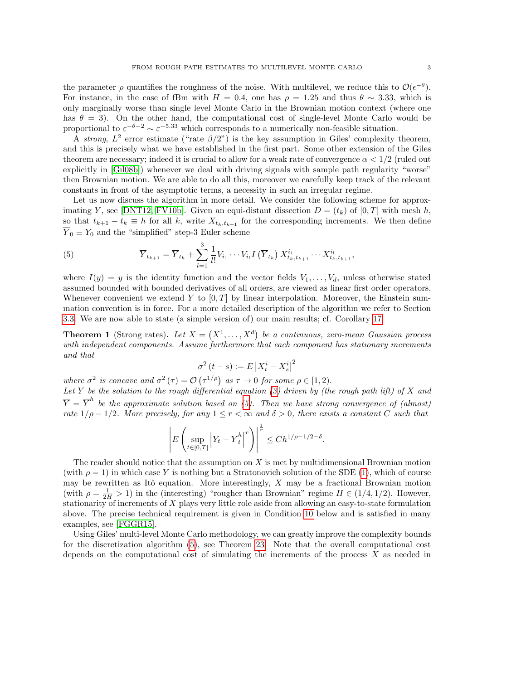the parameter  $\rho$  quantifies the roughness of the noise. With multilevel, we reduce this to  $\mathcal{O}(\epsilon^{-\theta})$ . For instance, in the case of fBm with  $H = 0.4$ , one has  $\rho = 1.25$  and thus  $\theta \sim 3.33$ , which is only marginally worse than single level Monte Carlo in the Brownian motion context (where one has  $\theta = 3$ . On the other hand, the computational cost of single-level Monte Carlo would be proportional to  $\varepsilon^{-\theta-2} \sim \varepsilon^{-5.33}$  which corresponds to a numerically non-feasible situation.

A strong,  $L^2$  error estimate ("rate  $\beta/2$ ") is the key assumption in Giles' complexity theorem, and this is precisely what we have established in the first part. Some other extension of the Giles theorem are necessary; indeed it is crucial to allow for a weak rate of convergence  $\alpha < 1/2$  (ruled out explicitly in [\[Gil08b\]](#page-32-7)) whenever we deal with driving signals with sample path regularity "worse" then Brownian motion. We are able to do all this, moreover we carefully keep track of the relevant constants in front of the asymptotic terms, a necessity in such an irregular regime.

Let us now discuss the algorithm in more detail. We consider the following scheme for approx-imating Y, see [\[DNT12,](#page-31-3) [FV10b\]](#page-32-2). Given an equi-distant dissection  $D = (t_k)$  of [0, T] with mesh h, so that  $t_{k+1} - t_k \equiv h$  for all k, write  $X_{t_k,t_{k+1}}$  for the corresponding increments. We then define  $\overline{Y}_0 \equiv Y_0$  and the "simplified" step-3 Euler scheme

<span id="page-2-0"></span>(5) 
$$
\overline{Y}_{t_{k+1}} = \overline{Y}_{t_k} + \sum_{l=1}^{3} \frac{1}{l!} V_{i_1} \cdots V_{i_l} I\left(\overline{Y}_{t_k}\right) X_{t_k, t_{k+1}}^{i_1} \cdots X_{t_k, t_{k+1}}^{i_l},
$$

where  $I(y) = y$  is the identity function and the vector fields  $V_1, \ldots, V_d$ , unless otherwise stated assumed bounded with bounded derivatives of all orders, are viewed as linear first order operators. Whenever convenient we extend  $\overline{Y}$  to [0, T] by linear interpolation. Moreover, the Einstein summation convention is in force. For a more detailed description of the algorithm we refer to Section [3.3.](#page-12-0) We are now able to state (a simple version of) our main results; cf. Corollary [17:](#page-13-0)

**Theorem 1** (Strong rates). Let  $X = (X^1, \ldots, X^d)$  be a continuous, zero-mean Gaussian process with independent components. Assume furthermore that each component has stationary increments and that

$$
\sigma^2(t-s) := E\left|X_t^i - X_s^i\right|^2
$$

where  $\sigma^2$  is concave and  $\sigma^2(\tau) = \mathcal{O}(\tau^{1/\rho})$  as  $\tau \to 0$  for some  $\rho \in [1, 2)$ .

Let Y be the solution to the rough differential equation [\(3\)](#page-0-2) driven by (the rough path lift) of X and  $\overline{Y} = \overline{Y}^h$  be the approximate solution based on [\(5\)](#page-2-0). Then we have strong convergence of (almost) rate  $1/\rho - 1/2$ . More precisely, for any  $1 \le r \le \infty$  and  $\delta > 0$ , there exists a constant C such that

$$
\left| E \left( \sup_{t \in [0,T]} \left| Y_t - \overline{Y}_t^h \right|^r \right) \right|^{\frac{1}{r}} \le C h^{1/\rho - 1/2 - \delta}.
$$

The reader should notice that the assumption on  $X$  is met by multidimensional Brownian motion (with  $\rho = 1$ ) in which case Y is nothing but a Stratonovich solution of the SDE [\(1\)](#page-0-1), which of course may be rewritten as Itô equation. More interestingly,  $X$  may be a fractional Brownian motion (with  $\rho = \frac{1}{2H} > 1$ ) in the (interesting) "rougher than Brownian" regime  $H \in (1/4, 1/2)$ . However, stationarity of increments of X plays very little role aside from allowing an easy-to-state formulation above. The precise technical requirement is given in Condition [10](#page-9-0) below and is satisfied in many examples, see [\[FGGR15\]](#page-31-8).

Using Giles' multi-level Monte Carlo methodology, we can greatly improve the complexity bounds for the discretization algorithm [\(5\)](#page-2-0), see Theorem [23.](#page-22-0) Note that the overall computational cost depends on the computational cost of simulating the increments of the process  $X$  as needed in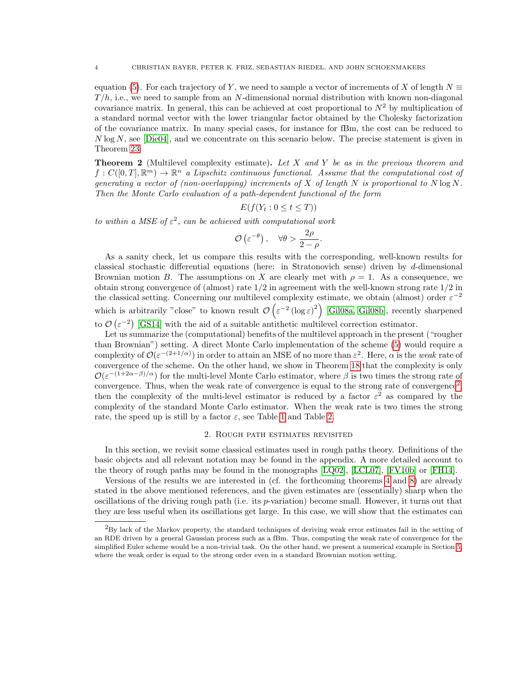equation [\(5\)](#page-2-0). For each trajectory of Y, we need to sample a vector of increments of X of length  $N \equiv$  $T/h$ , i.e., we need to sample from an N-dimensional normal distribution with known non-diagonal covariance matrix. In general, this can be achieved at cost proportional to  $N^2$  by multiplication of a standard normal vector with the lower triangular factor obtained by the Cholesky factorization of the covariance matrix. In many special cases, for instance for fBm, the cost can be reduced to  $N \log N$ , see [\[Die04\]](#page-31-9), and we concentrate on this scenario below. The precise statement is given in Theorem [23.](#page-22-0)

**Theorem 2** (Multilevel complexity estimate). Let X and Y be as in the previous theorem and  $f: C([0,T], \mathbb{R}^m) \to \mathbb{R}^n$  a Lipschitz continuous functional. Assume that the computational cost of generating a vector of (non-overlapping) increments of X of length N is proportional to  $N \log N$ . Then the Monte Carlo evaluation of a path-dependent functional of the form

$$
E(f(Y_t:0\leq t\leq T))
$$

to within a MSE of  $\varepsilon^2$ , can be achieved with computational work

$$
\mathcal{O}\left(\varepsilon^{-\theta}\right), \quad \forall \theta > \frac{2\rho}{2-\rho}.
$$

As a sanity check, let us compare this results with the corresponding, well-known results for classical stochastic differential equations (here: in Stratonovich sense) driven by d-dimensional Brownian motion B. The assumptions on X are clearly met with  $\rho = 1$ . As a consequence, we obtain strong convergence of (almost) rate 1/2 in agreement with the well-known strong rate 1/2 in the classical setting. Concerning our multilevel complexity estimate, we obtain (almost) order  $\varepsilon^{-2}$ which is arbitrarily "close" to known result  $\mathcal{O}\left(\varepsilon^{-2}\left(\log\varepsilon\right)^2\right)$  [\[Gil08a,](#page-32-8) [Gil08b\]](#page-32-7), recently sharpened

to  $\mathcal{O}(\varepsilon^{-2})$  [\[GS14\]](#page-32-5) with the aid of a suitable antithetic multilevel correction estimator.

Let us summarize the (computational) benefits of the multilevel approach in the present ("rougher than Brownian") setting. A direct Monte Carlo implementation of the scheme [\(5\)](#page-2-0) would require a complexity of  $\mathcal{O}(\varepsilon^{-(2+1/\alpha)})$  in order to attain an MSE of no more than  $\varepsilon^2$ . Here,  $\alpha$  is the weak rate of convergence of the scheme. On the other hand, we show in Theorem [18](#page-15-0) that the complexity is only  $\mathcal{O}(\varepsilon^{-(1+2\alpha-\beta)/\alpha})$  for the multi-level Monte Carlo estimator, where  $\beta$  is two times the strong rate of convergence. Thus, when the weak rate of convergence is equal to the strong rate of convergence<sup>[2](#page-3-0)</sup>, then the complexity of the multi-level estimator is reduced by a factor  $\varepsilon^2$  as compared by the complexity of the standard Monte Carlo estimator. When the weak rate is two times the strong rate, the speed up is still by a factor  $\varepsilon$ , see Table [1](#page-19-0) and Table [2.](#page-24-0)

### 2. Rough path estimates revisited

In this section, we revisit some classical estimates used in rough paths theory. Definitions of the basic objects and all relevant notation may be found in the appendix. A more detailed account to the theory of rough paths may be found in the monographs [\[LQ02\]](#page-32-1), [\[LCL07\]](#page-32-0), [\[FV10b\]](#page-32-2) or [\[FH14\]](#page-31-0).

Versions of the results we are interested in (cf. the forthcoming theorems [4](#page-4-0) and [8\)](#page-7-0) are already stated in the above mentioned references, and the given estimates are (essentially) sharp when the oscillations of the driving rough path (i.e. its p-variation) become small. However, it turns out that they are less useful when its oscillations get large. In this case, we will show that the estimates can

<span id="page-3-0"></span><sup>2</sup>By lack of the Markov property, the standard techniques of deriving weak error estimates fail in the setting of an RDE driven by a general Gaussian process such as a fBm. Thus, computing the weak rate of convergence for the simplified Euler scheme would be a non-trivial task. On the other hand, we present a numerical example in Section [5,](#page-23-0) where the weak order is equal to the strong order even in a standard Brownian motion setting.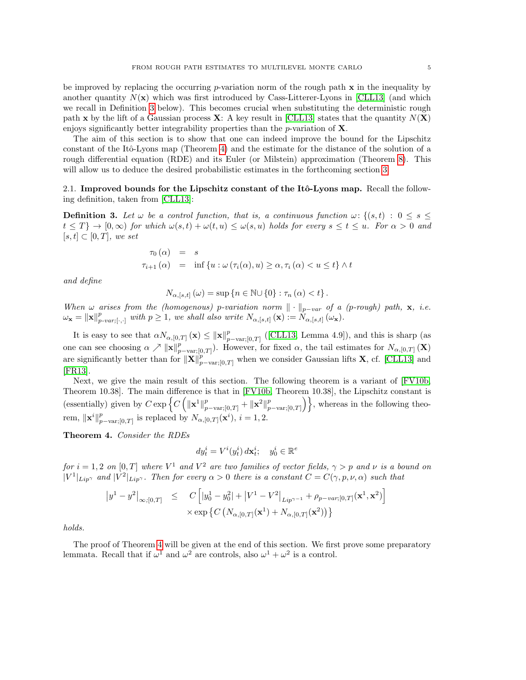be improved by replacing the occurring p-variation norm of the rough path  $x$  in the inequality by another quantity  $N(x)$  which was first introduced by Cass-Litterer-Lyons in [\[CLL13\]](#page-31-4) (and which we recall in Definition [3](#page-4-1) below). This becomes crucial when substituting the deterministic rough path x by the lift of a Gaussian process  $X: A$  key result in [\[CLL13\]](#page-31-4) states that the quantity  $N(X)$ enjoys significantly better integrability properties than the p-variation of  $X$ .

The aim of this section is to show that one can indeed improve the bound for the Lipschitz constant of the Itô-Lyons map (Theorem [4\)](#page-4-0) and the estimate for the distance of the solution of a rough differential equation (RDE) and its Euler (or Milstein) approximation (Theorem [8\)](#page-7-0). This will allow us to deduce the desired probabilistic estimates in the forthcoming section [3.](#page-8-0)

2.1. Improved bounds for the Lipschitz constant of the Itô-Lyons map. Recall the following definition, taken from [\[CLL13\]](#page-31-4):

<span id="page-4-1"></span>**Definition 3.** Let  $\omega$  be a control function, that is, a continuous function  $\omega$ :  $\{(s,t) : 0 \le s \le t\}$  $t \leq T$ }  $\rightarrow$  [0,  $\infty$ ) for which  $\omega(s,t) + \omega(t,u) \leq \omega(s,u)$  holds for every  $s \leq t \leq u$ . For  $\alpha > 0$  and  $[s, t] \subset [0, T]$ , we set

$$
\tau_0(\alpha) = s
$$
  

$$
\tau_{i+1}(\alpha) = \inf \{ u : \omega(\tau_i(\alpha), u) \ge \alpha, \tau_i(\alpha) < u \le t \} \wedge t
$$

and define

$$
N_{\alpha,[s,t]}(\omega)=\sup\left\{n\in\mathbb{N}\cup\{0\}:\tau_n(\alpha)
$$

When  $\omega$  arises from the (homogenous) p-variation norm  $\|\cdot\|_{p-var}$  of a (p-rough) path, x, i.e.  $\omega_{\mathbf{x}} = \|\mathbf{x}\|_{p-var;[\cdot,\cdot]}^p$  with  $p \geq 1$ , we shall also write  $N_{\alpha,[s,t]}(\mathbf{x}) := N_{\alpha,[s,t]}(\omega_{\mathbf{x}})$ .

It is easy to see that  $\alpha N_{\alpha,[0,T]}(\mathbf{x}) \leq ||\mathbf{x}||_p^p$  $_{p-\text{var;[0,T]}}^p$  ([\[CLL13,](#page-31-4) Lemma 4.9]), and this is sharp (as one can see choosing  $\alpha \nearrow ||\mathbf{x}||_p^p$  $_{p-\text{var;[0,T]}}^p$ ). However, for fixed  $\alpha$ , the tail estimates for  $N_{\alpha,[0,T]}(\mathbf{X})$ are significantly better than for  $\|\mathbf{X}\|_{p-\text{var};[0,T]}^{p}$  when we consider Gaussian lifts **X**, cf. [\[CLL13\]](#page-31-4) and [\[FR13\]](#page-31-5).

Next, we give the main result of this section. The following theorem is a variant of [\[FV10b,](#page-32-2) Theorem 10.38]. The main difference is that in [\[FV10b,](#page-32-2) Theorem 10.38], the Lipschitz constant is (essentially) given by  $C \exp \left\{ C \left( \|\mathbf{x}^1\|_{p-\text{var};[0,T]}^p + \|\mathbf{x}^2\|_p^p \right) \right\}$  $\{p_{p-\text{var;[0,T]}}\}\}$ , whereas in the following theorem,  $\|\mathbf{x}^i\|_n^p$  $_{p-\text{var};[0,T]}^{p}$  is replaced by  $N_{\alpha,[0,T]}(\mathbf{x}^{i}), i=1,2.$ 

<span id="page-4-0"></span>Theorem 4. Consider the RDEs

$$
dy_t^i = V^i(y_t^i) \, d\mathbf{x}_t^i; \quad y_0^i \in \mathbb{R}^e
$$

for  $i = 1, 2$  on  $[0, T]$  where  $V^1$  and  $V^2$  are two families of vector fields,  $\gamma > p$  and  $\nu$  is a bound on  $|V^1|_{Lip}$  and  $|V^2|_{Lip}$ . Then for every  $\alpha > 0$  there is a constant  $C = C(\gamma, p, \nu, \alpha)$  such that

$$
\begin{array}{rcl} \left|y^{1}-y^{2}\right|_{\infty;[0,T]} & \leq & C\left[|y^{1}_{0}-y^{2}_{0}|+|V^{1}-V^{2}\right]_{Lip^{\gamma-1}}+\rho_{p-var;[0,T]}(\mathbf{x}^{1},\mathbf{x}^{2})\right] \\ & \times \exp\left\{C\left(N_{\alpha,[0,T]}(\mathbf{x}^{1})+N_{\alpha,[0,T]}(\mathbf{x}^{2})\right)\right\} \end{array}
$$

holds.

The proof of Theorem [4](#page-4-0) will be given at the end of this section. We first prove some preparatory lemmata. Recall that if  $\omega^1$  and  $\omega^2$  are controls, also  $\omega^1 + \omega^2$  is a control.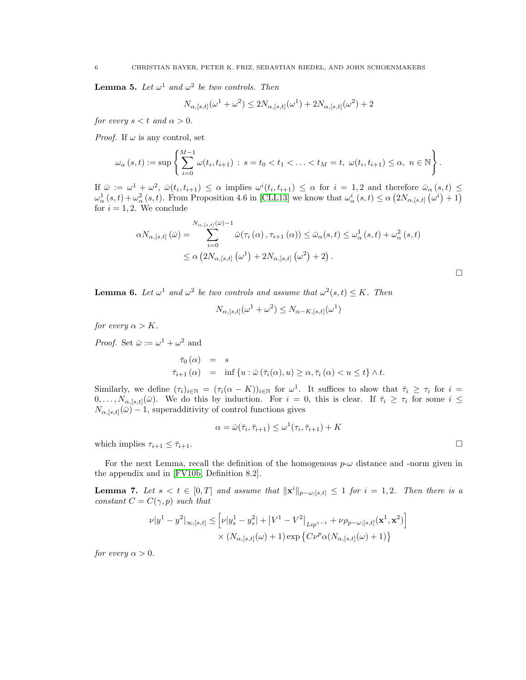<span id="page-5-2"></span>**Lemma 5.** Let  $\omega^1$  and  $\omega^2$  be two controls. Then

$$
N_{\alpha,[s,t]}(\omega^1+\omega^2) \le 2N_{\alpha,[s,t]}(\omega^1) + 2N_{\alpha,[s,t]}(\omega^2) + 2
$$

for every  $s < t$  and  $\alpha > 0$ .

*Proof.* If  $\omega$  is any control, set

$$
\omega_{\alpha}(s,t) := \sup \left\{ \sum_{i=0}^{M-1} \omega(t_i, t_{i+1}) : s = t_0 < t_1 < \ldots < t_M = t, \ \omega(t_i, t_{i+1}) \leq \alpha, \ n \in \mathbb{N} \right\}.
$$

If  $\bar{\omega} := \omega^1 + \omega^2$ ,  $\bar{\omega}(t_i, t_{i+1}) \leq \alpha$  implies  $\omega^i(t_i, t_{i+1}) \leq \alpha$  for  $i = 1, 2$  and therefore  $\bar{\omega}_{\alpha}(s, t) \leq$  $\omega_{\alpha}^{1}(s,t)+\omega_{\alpha}^{2}(s,t)$ . From Proposition 4.6 in [\[CLL13\]](#page-31-4) we know that  $\omega_{\alpha}^{i}(s,t) \leq \alpha \left(2N_{\alpha,[s,t]}\left(\omega^{i}\right)+1\right)$ for  $i = 1, 2$ . We conclude

$$
\alpha N_{\alpha,[s,t]}(\bar{\omega}) = \sum_{i=0}^{N_{\alpha,[s,t]}(\bar{\omega})-1} \bar{\omega}(\tau_i(\alpha), \tau_{i+1}(\alpha)) \leq \bar{\omega}_{\alpha}(s,t) \leq \omega_{\alpha}^1(s,t) + \omega_{\alpha}^2(s,t)
$$
  

$$
\leq \alpha (2N_{\alpha,[s,t]}(\omega^1) + 2N_{\alpha,[s,t]}(\omega^2) + 2).
$$

 $\Box$ 

<span id="page-5-1"></span>**Lemma 6.** Let  $\omega^1$  and  $\omega^2$  be two controls and assume that  $\omega^2(s,t) \leq K$ . Then

$$
N_{\alpha,[s,t]}(\omega^1+\omega^2)\leq N_{\alpha-K,[s,t]}(\omega^1)
$$

for every  $\alpha > K$ .

*Proof.* Set  $\bar{\omega} := \omega^1 + \omega^2$  and

$$
\begin{array}{rcl}\n\bar{\tau}_0(\alpha) & = & s \\
\bar{\tau}_{i+1}(\alpha) & = & \inf\left\{u : \bar{\omega}\left(\bar{\tau}_i(\alpha), u\right) \geq \alpha, \bar{\tau}_i\left(\alpha\right) < u \leq t\right\} \wedge t.\n\end{array}
$$

Similarly, we define  $(\tau_i)_{i\in\mathbb{N}} = (\tau_i(\alpha - K))_{i\in\mathbb{N}}$  for  $\omega^1$ . It suffices to show that  $\bar{\tau}_i \geq \tau_i$  for  $i =$  $0, \ldots, N_{\alpha,[s,t]}(\bar{\omega})$ . We do this by induction. For  $i = 0$ , this is clear. If  $\bar{\tau}_i \geq \tau_i$  for some  $i \leq$  $N_{\alpha,[s,t]}(\bar{\omega})-1$ , superadditivity of control functions gives

$$
\alpha = \bar{\omega}(\bar{\tau}_i, \bar{\tau}_{i+1}) \leq \omega^1(\tau_i, \bar{\tau}_{i+1}) + K
$$

which implies  $\tau_{i+1} \leq \overline{\tau}_{i+1}$ .

For the next Lemma, recall the definition of the homogenous  $p-\omega$  distance and -norm given in the appendix and in [\[FV10b,](#page-32-2) Definition 8.2].

<span id="page-5-0"></span>**Lemma 7.** Let  $s < t \in [0, T]$  and assume that  $\|\mathbf{x}^{i}\|_{p-\omega;[s,t]} \leq 1$  for  $i = 1, 2$ . Then there is a constant  $C = C(\gamma, p)$  such that

$$
\nu|y^1 - y^2|_{\infty;[s,t]} \leq \left[\nu|y_s^1 - y_s^2| + |V^1 - V^2|_{Lip^{\gamma-1}} + \nu \rho_{p-\omega;[s,t]}(\mathbf{x}^1, \mathbf{x}^2)\right] \times (N_{\alpha,[s,t]}(\omega) + 1) \exp\left\{C\nu^p \alpha(N_{\alpha,[s,t]}(\omega) + 1)\right\}
$$

for every  $\alpha > 0$ .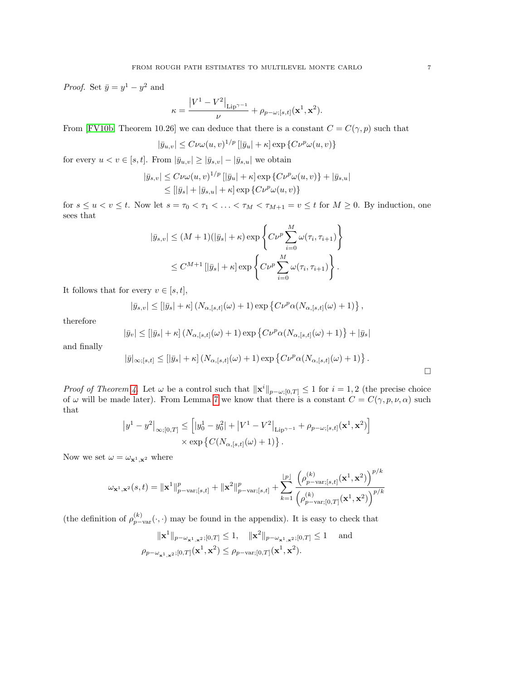*Proof.* Set  $\bar{y} = y^1 - y^2$  and

$$
\kappa = \frac{\left|V^1 - V^2\right|_{\text{Lip}^{\gamma - 1}}}{\nu} + \rho_{p - \omega; [s, t]}(\mathbf{x}^1, \mathbf{x}^2).
$$

From [\[FV10b,](#page-32-2) Theorem 10.26] we can deduce that there is a constant  $C = C(\gamma, p)$  such that

$$
|\bar{y}_{u,v}| \leq C \nu \omega(u,v)^{1/p} \left[|\bar{y}_u| + \kappa \right] \exp \left\{ C \nu^p \omega(u,v) \right\}
$$

for every  $u < v \in [s, t]$ . From  $|\bar{y}_{u,v}| \geq |\bar{y}_{s,v}| - |\bar{y}_{s,u}|$  we obtain

$$
|\bar{y}_{s,v}| \leq C \nu \omega(u,v)^{1/p} \left[|\bar{y}_u| + \kappa\right] \exp\left\{C\nu^p \omega(u,v)\right\} + |\bar{y}_{s,u}|
$$
  

$$
\leq \left[|\bar{y}_s| + |\bar{y}_{s,u}| + \kappa\right] \exp\left\{C\nu^p \omega(u,v)\right\}
$$

for  $s \le u < v \le t$ . Now let  $s = \tau_0 < \tau_1 < \ldots < \tau_M < \tau_{M+1} = v \le t$  for  $M \ge 0$ . By induction, one sees that

$$
|\bar{y}_{s,v}| \le (M+1)(|\bar{y}_s|+\kappa) \exp\left\{ C\nu^p \sum_{i=0}^M \omega(\tau_i, \tau_{i+1}) \right\}
$$
  

$$
\le C^{M+1} [|\bar{y}_s|+\kappa] \exp\left\{ C\nu^p \sum_{i=0}^M \omega(\tau_i, \tau_{i+1}) \right\}.
$$

It follows that for every  $v\in[s,t],$ 

$$
|\bar{y}_{s,v}| \leq [|\bar{y}_s| + \kappa] \left(N_{\alpha,[s,t]}(\omega) + 1\right) \exp \left\{ C\nu^p \alpha(N_{\alpha,[s,t]}(\omega) + 1) \right\},\,
$$

therefore

$$
|\bar{y}_v| \leq [|\bar{y}_s| + \kappa] \left(N_{\alpha,[s,t]}(\omega) + 1\right) \exp \left\{ C\nu^p \alpha (N_{\alpha,[s,t]}(\omega) + 1) \right\} + |\bar{y}_s|
$$

and finally

$$
|\bar{y}|_{\infty,[s,t]} \leq [|\bar{y}_s| + \kappa] \left(N_{\alpha,[s,t]}(\omega) + 1\right) \exp \left\{ C\nu^p \alpha (N_{\alpha,[s,t]}(\omega) + 1) \right\}.
$$

*Proof of Theorem [4.](#page-4-0)* Let  $\omega$  be a control such that  $\|\mathbf{x}^{i}\|_{p-\omega,[0,T]} \leq 1$  for  $i=1,2$  (the precise choice of  $\omega$  will be made later). From Lemma [7](#page-5-0) we know that there is a constant  $C = C(\gamma, p, \nu, \alpha)$  such that

$$
|y^1 - y^2|_{\infty;[0,T]} \leq [ |y_0^1 - y_0^2| + |V^1 - V^2|_{\text{Lip}^{\gamma-1}} + \rho_{p-\omega;[s,t]}(\mathbf{x}^1, \mathbf{x}^2) ]
$$
  
× exp { $C(N_{\alpha,[s,t]}(\omega) + 1)$  }.

Now we set  $\omega = \omega_{\mathbf{x}^1, \mathbf{x}^2}$  where

$$
\omega_{\mathbf{x}^1,\mathbf{x}^2}(s,t) = \|\mathbf{x}^1\|_{p-\text{var};[s,t]}^p + \|\mathbf{x}^2\|_{p-\text{var};[s,t]}^p + \sum_{k=1}^{\lfloor p \rfloor} \frac{\left(\rho_{p-\text{var};[s,t]}^{(k)}(\mathbf{x}^1,\mathbf{x}^2)\right)^{p/k}}{\left(\rho_{p-\text{var};[0,T]}^{(k)}(\mathbf{x}^1,\mathbf{x}^2)\right)^{p/k}}
$$

(the definition of  $\rho_{p-\text{var}}^{(k)}(\cdot, \cdot)$  may be found in the appendix). It is easy to check that

$$
\|\mathbf{x}^{1}\|_{p-\omega_{\mathbf{x}^{1},\mathbf{x}^{2}};[0,T]} \leq 1, \quad \|\mathbf{x}^{2}\|_{p-\omega_{\mathbf{x}^{1},\mathbf{x}^{2}};[0,T]} \leq 1 \quad \text{and}
$$
  

$$
\rho_{p-\omega_{\mathbf{x}^{1},\mathbf{x}^{2}};[0,T]}(\mathbf{x}^{1},\mathbf{x}^{2}) \leq \rho_{p-\text{var};[0,T]}(\mathbf{x}^{1},\mathbf{x}^{2}).
$$

 $\Box$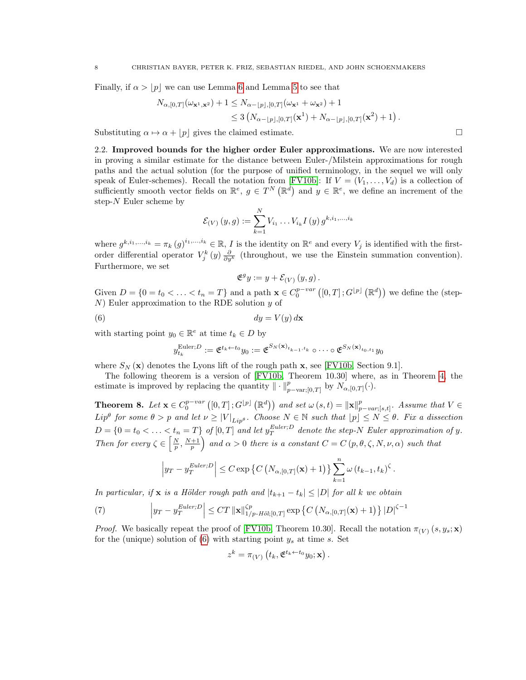Finally, if  $\alpha > |p|$  we can use Lemma [6](#page-5-1) and Lemma [5](#page-5-2) to see that

$$
N_{\alpha,[0,T]}(\omega_{\mathbf{x}^1,\mathbf{x}^2}) + 1 \leq N_{\alpha - [p],[0,T]}(\omega_{\mathbf{x}^1} + \omega_{\mathbf{x}^2}) + 1
$$
  
\$\leq 3\left(N\_{\alpha - [p],[0,T]}(\mathbf{x}^1) + N\_{\alpha - [p],[0,T]}(\mathbf{x}^2) + 1\right).

Substituting  $\alpha \mapsto \alpha + |p|$  gives the claimed estimate.

2.2. Improved bounds for the higher order Euler approximations. We are now interested in proving a similar estimate for the distance between Euler-/Milstein approximations for rough paths and the actual solution (for the purpose of unified terminology, in the sequel we will only speak of Euler-schemes). Recall the notation from [\[FV10b\]](#page-32-2): If  $V = (V_1, \ldots, V_d)$  is a collection of sufficiently smooth vector fields on  $\mathbb{R}^e$ ,  $g \in T^N(\mathbb{R}^d)$  and  $y \in \mathbb{R}^e$ , we define an increment of the step- $N$  Euler scheme by

$$
\mathcal{E}_{(V)}(y,g) := \sum_{k=1}^{N} V_{i_1} \dots V_{i_k} I(y) g^{k,i_1,\dots,i_k}
$$

where  $g^{k,i_1,...,i_k} = \pi_k(g)^{i_1,...,i_k} \in \mathbb{R}, I$  is the identity on  $\mathbb{R}^e$  and every  $V_j$  is identified with the firstorder differential operator  $V_j^k(y) \frac{\partial}{\partial y^k}$  (throughout, we use the Einstein summation convention). Furthermore, we set

<span id="page-7-1"></span>
$$
\mathfrak{E}^g y := y + \mathcal{E}_{(V)}(y, g).
$$

Given  $D = \{0 = t_0 < \ldots < t_n = T\}$  and a path  $\mathbf{x} \in C_0^{p-var} ([0, T]; G^{\lfloor p \rfloor} (\mathbb{R}^d))$  we define the (step- $N$ ) Euler approximation to the RDE solution  $y$  of

$$
(6) \t\t dy = V(y) dx
$$

with starting point  $y_0 \in \mathbb{R}^e$  at time  $t_k \in D$  by

$$
y_{t_k}^{\text{Euler};D} := \mathfrak{E}^{t_k \leftarrow t_0} y_0 := \mathfrak{E}^{S_N(\mathbf{x})_{t_{k-1}, t_k}} \circ \cdots \circ \mathfrak{E}^{S_N(\mathbf{x})_{t_0, t_1}} y_0
$$

where  $S_N(\mathbf{x})$  denotes the Lyons lift of the rough path  $\mathbf{x}$ , see [\[FV10b,](#page-32-2) Section 9.1].

The following theorem is a version of [\[FV10b,](#page-32-2) Theorem 10.30] where, as in Theorem [4,](#page-4-0) the estimate is improved by replacing the quantity  $\|\cdot\|_{p-\text{var};[0,T]}^p$  by  $N_{\alpha,[0,T]}(\cdot)$ .

<span id="page-7-0"></span>**Theorem 8.** Let  $\mathbf{x} \in C_0^{p-var} ([0,T];G^{\lfloor p \rfloor}(\mathbb{R}^d))$  and set  $\omega(s,t) = ||\mathbf{x}||_p^p$  $_{p-var;[s,t]}^p$ . Assume that  $V \in$  $Lip^{\theta}$  for some  $\theta > p$  and let  $\nu \geq |V|_{Lip^{\theta}}$ . Choose  $N \in \mathbb{N}$  such that  $|p| \leq N \leq \theta$ . Fix a dissection  $D = \{0 = t_0 < \ldots < t_n = T\}$  of  $[0, T]$  and let  $y_T^{Euler; D}$  denote the step-N Euler approximation of y. Then for every  $\zeta \in \left[\frac{N}{p}, \frac{N+1}{p}\right)$  and  $\alpha > 0$  there is a constant  $C = C(p, \theta, \zeta, N, \nu, \alpha)$  such that

<span id="page-7-2"></span>
$$
\left|y_T - y_T^{Euler;D}\right| \leq C \exp\left\{C\left(N_{\alpha,[0,T]}(\mathbf{x})+1\right)\right\} \sum_{k=1}^n \omega\left(t_{k-1}, t_k\right)^{\zeta}.
$$

In particular, if **x** is a Hölder rough path and  $|t_{k+1} - t_k| \leq |D|$  for all k we obtain

(7) 
$$
\left|y_T - y_T^{Euler;D}\right| \leq CT \left\|\mathbf{x}\right\|_{1/p\text{-}H\ddot{o}l;[0,T]}^{\zeta p} \exp\left\{C\left(N_{\alpha,[0,T]}(\mathbf{x})+1\right)\right\}\left|D\right|^{\zeta-1}
$$

*Proof.* We basically repeat the proof of [\[FV10b,](#page-32-2) Theorem 10.30]. Recall the notation  $\pi_{(V)}(s, y_s; \mathbf{x})$ for the (unique) solution of  $(6)$  with starting point  $y_s$  at time s. Set

$$
z^{k} = \pi_{(V)}(t_k, \mathfrak{E}^{t_k \leftarrow t_0} y_0; \mathbf{x}).
$$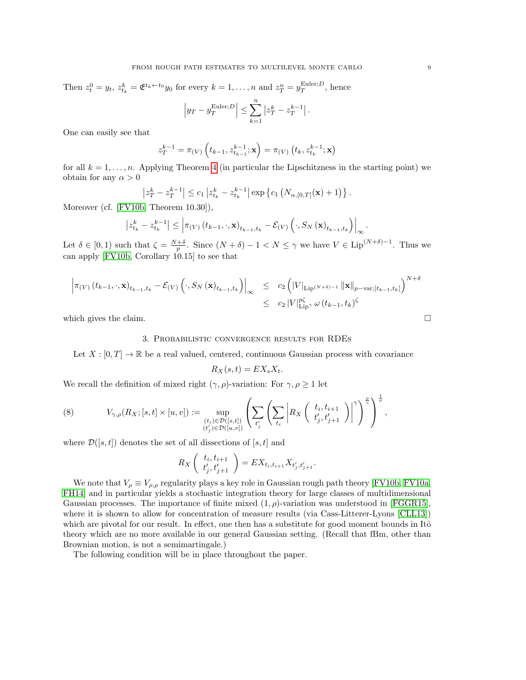Then  $z_t^0 = y_t$ ,  $z_{t_k}^k = \mathfrak{E}^{t_k \leftarrow t_0} y_0$  for every  $k = 1, ..., n$  and  $z_T^n = y_T^{\text{Euler};D}$ , hence  $\left|y_T - y_T^{\text{Euler};D}\right| \leq$  $\sum_{n=1}^{\infty}$  $|z_T^k - z_T^{k-1}|$ .

One can easily see that

$$
z_T^{k-1} = \pi(V) \left( t_{k-1}, z_{t_{k-1}}^{k-1}; \mathbf{x} \right) = \pi(V) \left( t_k, z_{t_k}^{k-1}; \mathbf{x} \right)
$$

 $k=1$ 

for all  $k = 1, \ldots, n$ . Applying Theorem [4](#page-4-0) (in particular the Lipschitzness in the starting point) we obtain for any  $\alpha > 0$ 

$$
|z_T^k - z_T^{k-1}| \le c_1 |z_{t_k}^k - z_{t_k}^{k-1}| \exp \left\{ c_1 \left( N_{\alpha, [0,T]}(\mathbf{x}) + 1 \right) \right\}.
$$

Moreover (cf. [\[FV10b,](#page-32-2) Theorem 10.30]),

$$
\left| z_{t_{k}}^{k} - z_{t_{k}}^{k-1} \right| \leq \left| \pi_{(V)} \left( t_{k-1}, \cdot, \mathbf{x} \right)_{t_{k-1}, t_{k}} - \mathcal{E}_{(V)} \left( \cdot, S_{N} \left( \mathbf{x} \right)_{t_{k-1}, t_{k}} \right) \right|_{\infty}.
$$

Let  $\delta \in [0,1)$  such that  $\zeta = \frac{N+\delta}{p}$ . Since  $(N+\delta)-1 < N \leq \gamma$  we have  $V \in \text{Lip}^{(N+\delta)-1}$ . Thus we can apply [\[FV10b,](#page-32-2) Corollary 10.15] to see that

$$
\left| \pi_{(V)} (t_{k-1}, \cdot, \mathbf{x})_{t_{k-1}, t_k} - \mathcal{E}_{(V)} ( \cdot, S_N (\mathbf{x})_{t_{k-1}, t_k} ) \right|_{\infty} \leq c_2 \left( |V|_{\text{Lip}^{(N+\delta)-1}} ||\mathbf{x}||_{p-\text{var};[t_{k-1}, t_k]} \right)^{N+\delta}
$$
  

$$
\leq c_2 |V|_{\text{Lip}}^{p\zeta} \omega (t_{k-1}, t_k)^{\zeta}
$$

<span id="page-8-0"></span>which gives the claim.  $\Box$ 

## 3. Probabilistic convergence results for RDEs

Let  $X : [0, T] \to \mathbb{R}$  be a real valued, centered, continuous Gaussian process with covariance

$$
R_X(s,t) = EX_s X_t.
$$

We recall the definition of mixed right  $(\gamma, \rho)$ -variation: For  $\gamma, \rho \geq 1$  let

(8) 
$$
V_{\gamma,\rho}(R_X;[s,t]\times[u,v]) := \sup_{\substack{(t_i)\in\mathcal{D}([s,t])\\(t'_j)\in\mathcal{D}([u,v])}}\left(\sum_{t'_j}\left(\sum_{t_i}\left|R_X\left(\begin{array}{c}t_i,t_{i+1}\\t'_j,t'_{j+1}\end{array}\right)\right|^\gamma\right)^{\frac{\rho}{\gamma}},
$$

where  $\mathcal{D}([s,t])$  denotes the set of all dissections of  $[s,t]$  and

$$
R_X\left(\begin{array}{c}t_i, t_{i+1} \\ t'_j, t'_{j+1}\end{array}\right) = EX_{t_i, t_{i+1}} X_{t'_j, t'_{j+1}}.
$$

We note that  $V_\rho \equiv V_{\rho,\rho}$  regularity plays a key role in Gaussian rough path theory [\[FV10b,](#page-32-2) [FV10a,](#page-32-9) [FH14\]](#page-31-0) and in particular yields a stochastic integration theory for large classes of multidimensional Gaussian processes. The importance of finite mixed  $(1, \rho)$ -variation was understood in [\[FGGR15\]](#page-31-8), where it is shown to allow for concentration of measure results (via Cass-Litterer-Lyons [\[CLL13\]](#page-31-4)) which are pivotal for our result. In effect, one then has a substitute for good moment bounds in Itô theory which are no more available in our general Gaussian setting. (Recall that fBm, other than Brownian motion, is not a semimartingale.)

The following condition will be in place throughout the paper.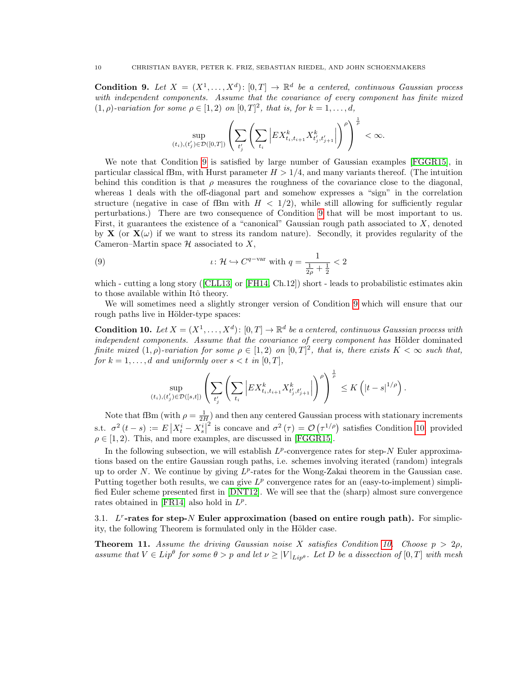<span id="page-9-1"></span>**Condition 9.** Let  $X = (X^1, \ldots, X^d)$ :  $[0, T] \to \mathbb{R}^d$  be a centered, continuous Gaussian process with independent components. Assume that the covariance of every component has finite mixed  $(1, \rho)$ -variation for some  $\rho \in [1, 2)$  on  $[0, T]^2$ , that is, for  $k = 1, \ldots, d$ ,

$$
\sup_{(t_i),(t_j')\in \mathcal{D}([0,T])}\left(\sum_{t_j'}\left(\sum_{t_i}\left|EX^k_{t_i,t_{i+1}}X^k_{t_j',t_{j+1}'}\right|\right)^\rho\right)^{\frac{1}{\rho}}<\infty.
$$

We note that Condition [9](#page-9-1) is satisfied by large number of Gaussian examples [\[FGGR15\]](#page-31-8), in particular classical fBm, with Hurst parameter  $H > 1/4$ , and many variants thereof. (The intuition behind this condition is that  $\rho$  measures the roughness of the covariance close to the diagonal, whereas 1 deals with the off-diagonal part and somehow expresses a "sign" in the correlation structure (negative in case of fBm with  $H < 1/2$ ), while still allowing for sufficiently regular perturbations.) There are two consequence of Condition [9](#page-9-1) that will be most important to us. First, it guarantees the existence of a "canonical" Gaussian rough path associated to  $X$ , denoted by **X** (or  $\mathbf{X}(\omega)$ ) if we want to stress its random nature). Secondly, it provides regularity of the Cameron–Martin space  $\mathcal H$  associated to X,

<span id="page-9-3"></span>(9) 
$$
\iota: \mathcal{H} \hookrightarrow C^{q-var} \text{ with } q = \frac{1}{\frac{1}{2\rho} + \frac{1}{2}} < 2
$$

which - cutting a long story ([\[CLL13\]](#page-31-4) or [\[FH14,](#page-31-0) Ch.12]) short - leads to probabilistic estimates akin to those available within Itô theory.

We will sometimes need a slightly stronger version of Condition [9](#page-9-1) which will ensure that our rough paths live in Hölder-type spaces:

<span id="page-9-0"></span>**Condition 10.** Let  $X = (X^1, \ldots, X^d)$ :  $[0, T] \to \mathbb{R}^d$  be a centered, continuous Gaussian process with independent components. Assume that the covariance of every component has Hölder dominated finite mixed  $(1, \rho)$ -variation for some  $\rho \in [1, 2)$  on  $[0, T]^2$ , that is, there exists  $K < \infty$  such that, for  $k = 1, \ldots, d$  and uniformly over  $s < t$  in  $[0, T]$ ,

$$
\sup_{(t_i),(t'_j)\in\mathcal{D}([s,t])}\left(\sum_{t'_j}\left(\sum_{t_i}\left|EX^k_{t_i,t_{i+1}}X^k_{t'_j,t'_{j+1}}\right|\right)^{\rho}\right)^{\frac{1}{\rho}}\leq K\left(|t-s|^{1/\rho}\right).
$$

Note that fBm (with  $\rho = \frac{1}{2H}$ ) and then any centered Gaussian process with stationary increments s.t.  $\sigma^2(t-s) := E\left|X_t^i - X_s^i\right|$ <sup>2</sup> is concave and  $\sigma^2(\tau) = \mathcal{O}(\tau^{1/\rho})$  satisfies Condition [10,](#page-9-0) provided  $\rho \in [1, 2)$ . This, and more examples, are discussed in [\[FGGR15\]](#page-31-8).

In the following subsection, we will establish  $L^p$ -convergence rates for step-N Euler approximations based on the entire Gaussian rough paths, i.e. schemes involving iterated (random) integrals up to order N. We continue by giving  $L^p$ -rates for the Wong-Zakai theorem in the Gaussian case. Putting together both results, we can give  $L^p$  convergence rates for an (easy-to-implement) simplified Euler scheme presented first in [\[DNT12\]](#page-31-3). We will see that the (sharp) almost sure convergence rates obtained in [\[FR14\]](#page-32-10) also hold in  $L^p$ .

3.1.  $L^r$ -rates for step-N Euler approximation (based on entire rough path). For simplicity, the following Theorem is formulated only in the Hölder case.

<span id="page-9-2"></span>**Theorem 11.** Assume the driving Gaussian noise X satisfies Condition [10.](#page-9-0) Choose  $p > 2\rho$ . assume that  $V \in Lip^{\theta}$  for some  $\theta > p$  and let  $\nu \geq |V|_{Lip^{\theta}}$ . Let D be a dissection of  $[0, T]$  with mesh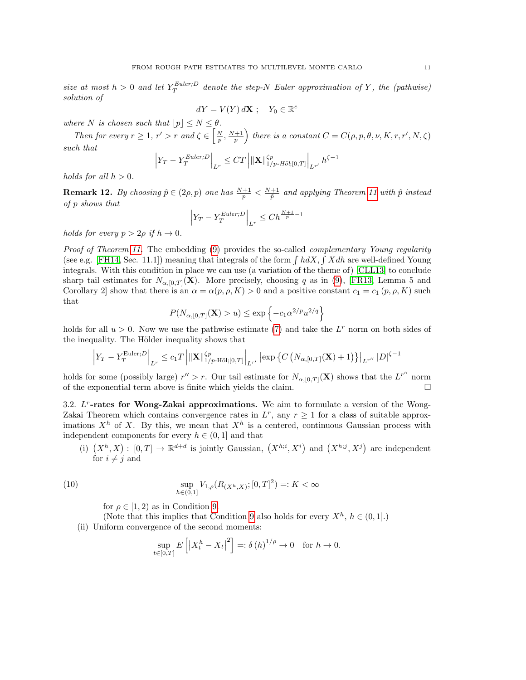size at most  $h > 0$  and let  $Y_T^{Euler; D}$  denote the step-N Euler approximation of Y, the (pathwise) solution of

$$
dY = V(Y) d\mathbf{X} \; ; \quad Y_0 \in \mathbb{R}^e
$$

where N is chosen such that  $\lfloor p \rfloor \le N \le \theta$ .

Then for every  $r \geq 1$ ,  $r' > r$  and  $\zeta \in \left[\frac{N}{p}, \frac{N+1}{p}\right]$  there is a constant  $C = C(\rho, p, \theta, \nu, K, r, r', N, \zeta)$ such that

$$
\left| Y_T - Y_T^{Euler;D} \right|_{L^r} \leq CT \left| \| \mathbf{X} \|_{1/p \text{-} H \ddot{o} l; [0,T]}^{cp} \right|_{L^{r'}} h^{\zeta - 1}
$$

holds for all  $h > 0$ .

**Remark 12.** By choosing  $\hat{p} \in (2\rho, p)$  one has  $\frac{N+1}{p} < \frac{N+1}{\hat{p}}$  and applying Theorem [11](#page-9-2) with  $\hat{p}$  instead of p shows that

$$
\left| Y_T - Y_T^{Euler;D} \right|_{L^r} \le Ch^{\frac{N+1}{p}-1}
$$

holds for every  $p > 2\rho$  if  $h \to 0$ .

Proof of Theorem [11.](#page-9-2) The embedding [\(9\)](#page-9-3) provides the so-called *complementary Young regularity* (see e.g. [\[FH14,](#page-31-0) Sec. 11.1]) meaning that integrals of the form  $\int h dX$ ,  $\int X dh$  are well-defined Young integrals. With this condition in place we can use (a variation of the theme of) [\[CLL13\]](#page-31-4) to conclude sharp tail estimates for  $N_{\alpha,0,T}(\mathbf{X})$ . More precisely, choosing q as in [\(9\)](#page-9-3), [\[FR13,](#page-31-5) Lemma 5 and Corollary 2 show that there is an  $\alpha = \alpha(p, \rho, K) > 0$  and a positive constant  $c_1 = c_1(p, \rho, K)$  such that

$$
P(N_{\alpha,[0,T]}(\mathbf{X})>u)\leq \exp\left\{-c_1\alpha^{2/p}u^{2/q}\right\}
$$

holds for all  $u > 0$ . Now we use the pathwise estimate [\(7\)](#page-7-2) and take the  $L<sup>r</sup>$  norm on both sides of the inequality. The Hölder inequality shows that

$$
\left| Y_T - Y_T^{\text{Euler};D} \right|_{L^r} \leq c_1 T \left| \left\| \mathbf{X} \right\|_{1/p\text{-H\"{o}l};[0,T]}^{ \zeta p} \right|_{L^{r'}} \left| \exp\left\{ C\left( N_{\alpha,[0,T]}(\mathbf{X})+1 \right)\right\} \right|_{L^{r''}} |D|^{\zeta-1}
$$

holds for some (possibly large)  $r'' > r$ . Our tail estimate for  $N_{\alpha,[0,T]}(X)$  shows that the  $L^{r''}$  norm of the exponential term above is finite which yields the claim.  $\Box$ 

3.2.  $L^r$ -rates for Wong-Zakai approximations. We aim to formulate a version of the Wong-Zakai Theorem which contains convergence rates in  $L^r$ , any  $r \geq 1$  for a class of suitable approximations  $X<sup>h</sup>$  of X. By this, we mean that  $X<sup>h</sup>$  is a centered, continuous Gaussian process with independent components for every  $h \in (0, 1]$  and that

(i)  $(X^h, X) : [0, T] \to \mathbb{R}^{d+d}$  is jointly Gaussian,  $(X^{h,i}, X^i)$  and  $(X^{h,j}, X^j)$  are independent for  $i \neq j$  and

(10) 
$$
\sup_{h \in (0,1]} V_{1,\rho}(R_{(X^h,X)};[0,T]^2) =: K < \infty
$$

for  $\rho \in [1, 2)$  as in Condition [9.](#page-9-1)

(Note that this implies that Condition [9](#page-9-1) also holds for every  $X^h$ ,  $h \in (0,1]$ .) (ii) Uniform convergence of the second moments:

<span id="page-10-0"></span>
$$
\sup_{t\in[0,T]} E\left[\left|X_t^h - X_t\right|^2\right] =: \delta\left(h\right)^{1/\rho} \to 0 \quad \text{for } h \to 0.
$$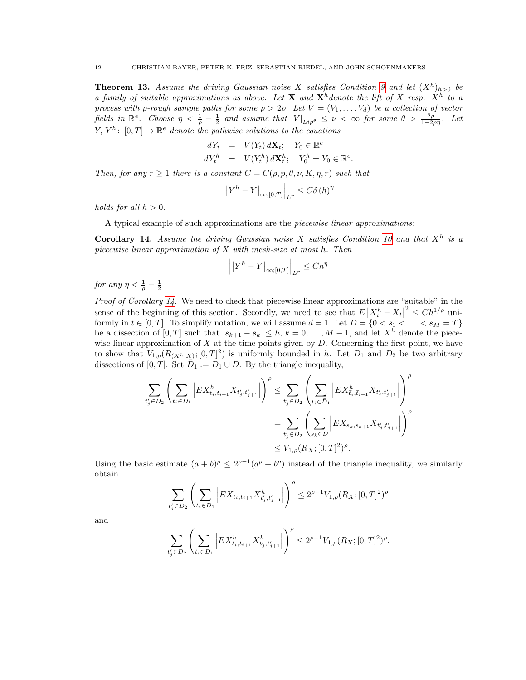<span id="page-11-1"></span>**Theorem 13.** Assume the driving Gaussian noise X satisfies Condition [9](#page-9-1) and let  $(X^h)_{h>0}$  be a family of suitable approximations as above. Let **X** and  $\mathbf{X}^h$  denote the lift of X resp.  $X^h$  to a process with p-rough sample paths for some  $p > 2\rho$ . Let  $V = (V_1, \ldots, V_d)$  be a collection of vector fields in  $\mathbb{R}^e$ . Choose  $\eta < \frac{1}{\rho} - \frac{1}{2}$  and assume that  $|V|_{Lip^\theta} \le \nu < \infty$  for some  $\theta > \frac{2\rho}{1-2\rho\eta}$ . Let  $Y, Y^h: [0,T] \to \mathbb{R}^e$  denote the pathwise solutions to the equations

$$
dY_t = V(Y_t) d\mathbf{X}_t; \quad Y_0 \in \mathbb{R}^e
$$
  

$$
dY_t^h = V(Y_t^h) d\mathbf{X}_t^h; \quad Y_0^h = Y_0 \in \mathbb{R}^e.
$$

Then, for any  $r \geq 1$  there is a constant  $C = C(\rho, p, \theta, \nu, K, \eta, r)$  such that

$$
\left| \left| Y^h - Y \right|_{\infty;[0,T]} \right|_{L^r} \le C \delta(h)^{\eta}
$$

holds for all  $h > 0$ .

A typical example of such approximations are the piecewise linear approximations:

<span id="page-11-0"></span>Corollary 14. Assume the driving Gaussian noise X satisfies Condition [10](#page-9-0) and that  $X<sup>h</sup>$  is a piecewise linear approximation of X with mesh-size at most h. Then

$$
\left| \left| Y^h - Y \right|_{\infty;[0,T]} \right|_{L^r} \le Ch^{\eta}
$$

for any  $\eta < \frac{1}{\rho} - \frac{1}{2}$ 

Proof of Corollary [14.](#page-11-0) We need to check that piecewise linear approximations are "suitable" in the sense of the beginning of this section. Secondly, we need to see that  $E\left|X_t^h - X_t\right|$  $2 \leq Ch^{1/\rho}$  uniformly in  $t \in [0, T]$ . To simplify notation, we will assume  $d = 1$ . Let  $D = \{0 < s_1 < \ldots < s_M = T\}$ be a dissection of  $[0, T]$  such that  $|s_{k+1} - s_k| \leq h, k = 0, \ldots, M-1$ , and let  $X^h$  denote the piecewise linear approximation of  $X$  at the time points given by  $D$ . Concerning the first point, we have to show that  $V_{1,\rho}(R_{(X^h,X)}; [0,T]^2)$  is uniformly bounded in h. Let  $D_1$  and  $D_2$  be two arbitrary dissections of [0, T]. Set  $\overline{D}_1 := D_1 \cup D$ . By the triangle inequality,

$$
\sum_{t'_j \in D_2} \left( \sum_{t_i \in D_1} \left| E X^h_{t_i, t_{i+1}} X_{t'_j, t'_{j+1}} \right| \right)^{\rho} \le \sum_{t'_j \in D_2} \left( \sum_{\bar{t}_i \in \bar{D}_1} \left| E X^h_{\bar{t}_i, \bar{t}_{i+1}} X_{t'_j, t'_{j+1}} \right| \right)^{\rho}
$$
\n
$$
= \sum_{t'_j \in D_2} \left( \sum_{s_k \in D} \left| E X_{s_k, s_{k+1}} X_{t'_j, t'_{j+1}} \right| \right)^{\rho}
$$
\n
$$
\le V_{1, \rho}(R_X; [0, T]^2)^{\rho}.
$$

Using the basic estimate  $(a + b)^{\rho} \leq 2^{\rho-1}(a^{\rho} + b^{\rho})$  instead of the triangle inequality, we similarly obtain

$$
\sum_{t'_j \in D_2} \left( \sum_{t_i \in D_1} \left| EX_{t_i, t_{i+1}} X^h_{t'_j, t'_{j+1}} \right| \right)^{\rho} \le 2^{\rho - 1} V_{1, \rho}(R_X; [0, T]^2)^{\rho}
$$

and

$$
\sum_{t_j' \in D_2} \left( \sum_{t_i \in D_1} \left| E X^h_{t_i,t_{i+1}} X^h_{t_j',t_{j+1}'} \right| \right)^\rho \leq 2^{\rho-1} V_{1,\rho}(R_X;[0,T]^2)^\rho.
$$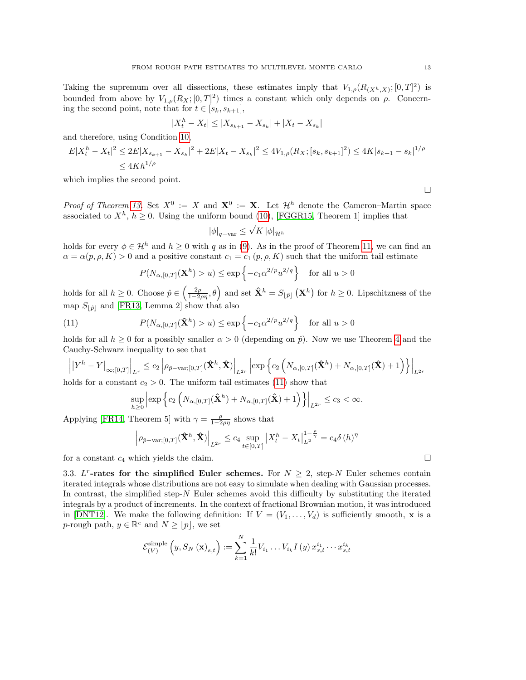Taking the supremum over all dissections, these estimates imply that  $V_{1,\rho}(R_{(X_h,X)};[0,T]^2)$  is bounded from above by  $V_{1,\rho}(R_X;[0,T]^2)$  times a constant which only depends on  $\rho$ . Concerning the second point, note that for  $t \in [s_k, s_{k+1}],$ 

$$
|X_t^h - X_t| \le |X_{s_{k+1}} - X_{s_k}| + |X_t - X_{s_k}|
$$

and therefore, using Condition [10,](#page-9-0)

$$
E|X_t^h - X_t|^2 \le 2E|X_{s_{k+1}} - X_{s_k}|^2 + 2E|X_t - X_{s_k}|^2 \le 4V_{1,\rho}(R_X; [s_k, s_{k+1}]^2) \le 4K|s_{k+1} - s_k|^{1/\rho}
$$
  

$$
\le 4Kh^{1/\rho}
$$

which implies the second point.

*Proof of Theorem [13.](#page-11-1)* Set  $X^0 := X$  and  $X^0 := X$ . Let  $\mathcal{H}^h$  denote the Cameron–Martin space associated to  $X^h$ ,  $h \geq 0$ . Using the uniform bound [\(10\)](#page-10-0), [\[FGGR15,](#page-31-8) Theorem 1] implies that √

$$
|\phi|_{q-\text{var}} \le \sqrt{K} |\phi|_{\mathcal{H}^h}
$$

holds for every  $\phi \in \mathcal{H}^h$  and  $h \geq 0$  with q as in [\(9\)](#page-9-3). As in the proof of Theorem [11,](#page-9-2) we can find an  $\alpha = \alpha(p, \rho, K) > 0$  and a positive constant  $c_1 = c_1(p, \rho, K)$  such that the uniform tail estimate

<span id="page-12-1"></span>
$$
P(N_{\alpha,[0,T]}(\mathbf{X}^h) > u) \le \exp\left\{-c_1\alpha^{2/p}u^{2/q}\right\} \quad \text{for all } u > 0
$$

holds for all  $h \geq 0$ . Choose  $\hat{p} \in \left(\frac{2\rho}{1-2\rho\eta}, \theta\right)$  and set  $\hat{\mathbf{X}}^h = S_{\lfloor \hat{p} \rfloor}(\mathbf{X}^h)$  for  $h \geq 0$ . Lipschitzness of the map  $S_{\vert \hat{p} \vert}$  and [\[FR13,](#page-31-5) Lemma 2] show that also

(11) 
$$
P(N_{\alpha,[0,T]}(\hat{\mathbf{X}}^h) > u) \le \exp\left\{-c_1\alpha^{2/p}u^{2/q}\right\} \text{ for all } u > 0
$$

holds for all  $h \geq 0$  for a possibly smaller  $\alpha > 0$  (depending on  $\hat{p}$ ). Now we use Theorem [4](#page-4-0) and the Cauchy-Schwarz inequality to see that

$$
\left| \left| Y^h - Y \right|_{\infty;[0,T]} \right|_{L^r} \leq c_2 \left| \rho_{\hat{p}-\text{var};[0,T]}(\hat{\mathbf{X}}^h, \hat{\mathbf{X}}) \right|_{L^{2r}} \left| \exp \left\{ c_2 \left( N_{\alpha,[0,T]}(\hat{\mathbf{X}}^h) + N_{\alpha,[0,T]}(\hat{\mathbf{X}}) + 1 \right) \right\} \right|_{L^{2r}}
$$

holds for a constant  $c_2 > 0$ . The uniform tail estimates [\(11\)](#page-12-1) show that

$$
\sup_{h\geq 0} \left| \exp \left\{ c_2 \left( N_{\alpha,[0,T]}(\hat{\mathbf{X}}^h) + N_{\alpha,[0,T]}(\hat{\mathbf{X}}) + 1 \right) \right\} \right|_{L^{2r}} \leq c_3 < \infty.
$$

Applying [\[FR14,](#page-32-10) Theorem 5] with  $\gamma = \frac{\rho}{1-2\rho\eta}$  shows that

$$
\left| \rho_{\hat{p}-\text{var};[0,T]}(\hat{\mathbf{X}}^h, \hat{\mathbf{X}}) \right|_{L^{2r}} \leq c_4 \sup_{t \in [0,T]} \left| X_t^h - X_t \right|_{L^2}^{1-\frac{\rho}{\gamma}} = c_4 \delta(h)^{\eta}
$$

for a constant  $c_4$  which yields the claim.

<span id="page-12-0"></span>3.3. L<sup>r</sup>-rates for the simplified Euler schemes. For  $N \geq 2$ , step-N Euler schemes contain iterated integrals whose distributions are not easy to simulate when dealing with Gaussian processes. In contrast, the simplified step-N Euler schemes avoid this difficulty by substituting the iterated integrals by a product of increments. In the context of fractional Brownian motion, it was introduced in [\[DNT12\]](#page-31-3). We make the following definition: If  $V = (V_1, \ldots, V_d)$  is sufficiently smooth, **x** is a p-rough path,  $y \in \mathbb{R}^e$  and  $N \geq |p|$ , we set

$$
\mathcal{E}_{(V)}^{\text{simple}}\left(y, S_{N}\left(\mathbf{x}\right)_{s,t}\right) := \sum_{k=1}^{N} \frac{1}{k!} V_{i_{1}} \dots V_{i_{k}} I\left(y\right) x_{s,t}^{i_{1}} \dots x_{s,t}^{i_{k}}
$$

 $\Box$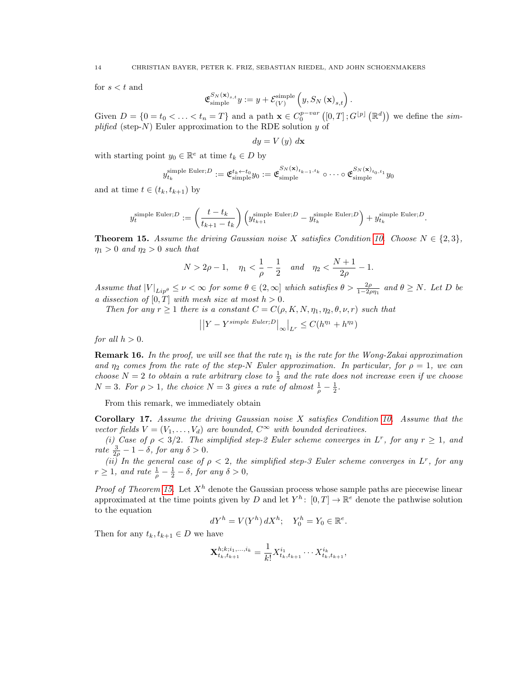for  $s < t$  and

$$
\mathfrak{E}_{\text{simple}}^{S_N(\mathbf{x})_{s,t}} y := y + \mathcal{E}_{(V)}^{\text{simple}}\left(y, S_N(\mathbf{x})_{s,t}\right).
$$

Given  $D = \{0 = t_0 < \ldots < t_n = T\}$  and a path  $\mathbf{x} \in C_0^{p-var}([0,T];G^{[p]}(\mathbb{R}^d))$  we define the simplified (step-N) Euler approximation to the RDE solution y of

$$
dy = V(y) dx
$$

with starting point  $y_0 \in \mathbb{R}^e$  at time  $t_k \in D$  by

$$
y_{t_k}^{\text{simple Euler};D} := \mathfrak{E}_{\text{simple}}^{t_k \leftarrow t_0} y_0 := \mathfrak{E}_{\text{simple}}^{S_N(\mathbf{x})_{t_{k-1},t_k}} \circ \cdots \circ \mathfrak{E}_{\text{simple}}^{S_N(\mathbf{x})_{t_0,t_1}} y_0
$$

and at time  $t \in (t_k, t_{k+1})$  by

$$
y_t^{\text{simple Euler};D} := \left(\frac{t-t_k}{t_{k+1}-t_k}\right) \left(y_{t_{k+1}}^{\text{simple Euler};D} - y_{t_k}^{\text{simple Euler};D}\right) + y_{t_k}^{\text{simple Euler};D}.
$$

<span id="page-13-1"></span>**Theorem 15.** Assume the driving Gaussian noise X satisfies Condition [10.](#page-9-0) Choose  $N \in \{2,3\}$ ,  $\eta_1 > 0$  and  $\eta_2 > 0$  such that

$$
N > 2\rho - 1, \quad \eta_1 < \frac{1}{\rho} - \frac{1}{2} \quad \text{and} \quad \eta_2 < \frac{N+1}{2\rho} - 1.
$$

Assume that  $|V|_{Lip^\theta} \le \nu < \infty$  for some  $\theta \in (2,\infty]$  which satisfies  $\theta > \frac{2\rho}{1-2\rho\eta_1}$  and  $\theta \ge N$ . Let D be a dissection of  $[0, T]$  with mesh size at most  $h > 0$ .

Then for any  $r \geq 1$  there is a constant  $C = C(\rho, K, N, \eta_1, \eta_2, \theta, \nu, r)$  such that

$$
||Y - Y^{simple\ Euler;D}||_{\infty}|_{L^r} \leq C(h^{\eta_1} + h^{\eta_2})
$$

for all  $h > 0$ .

**Remark 16.** In the proof, we will see that the rate  $\eta_1$  is the rate for the Wong-Zakai approximation and  $\eta_2$  comes from the rate of the step-N Euler approximation. In particular, for  $\rho = 1$ , we can choose  $N=2$  to obtain a rate arbitrary close to  $\frac{1}{2}$  and the rate does not increase even if we choose  $N = 3$ . For  $\rho > 1$ , the choice  $N = 3$  gives a rate of almost  $\frac{1}{\rho} - \frac{1}{2}$ .

From this remark, we immediately obtain

<span id="page-13-0"></span>**Corollary 17.** Assume the driving Gaussian noise  $X$  satisfies Condition [10.](#page-9-0) Assume that the vector fields  $V = (V_1, \ldots, V_d)$  are bounded,  $C^{\infty}$  with bounded derivatives.

(i) Case of  $\rho < 3/2$ . The simplified step-2 Euler scheme converges in L<sup>r</sup>, for any  $r \ge 1$ , and rate  $\frac{3}{2\rho} - 1 - \delta$ , for any  $\delta > 0$ .

(ii) In the general case of  $\rho < 2$ , the simplified step-3 Euler scheme converges in L<sup>r</sup>, for any  $r \geq 1$ , and rate  $\frac{1}{\rho} - \frac{1}{2} - \delta$ , for any  $\delta > 0$ ,

*Proof of Theorem [15.](#page-13-1)* Let  $X<sup>h</sup>$  denote the Gaussian process whose sample paths are piecewise linear approximated at the time points given by D and let  $Y^h$ :  $[0,T] \to \mathbb{R}^e$  denote the pathwise solution to the equation

$$
dY^h = V(Y^h) dX^h; \quad Y_0^h = Y_0 \in \mathbb{R}^e.
$$

Then for any  $t_k, t_{k+1} \in D$  we have

$$
\mathbf{X}_{t_k,t_{k+1}}^{h;k;i_1,\ldots,i_k} = \frac{1}{k!} X_{t_k,t_{k+1}}^{i_1} \cdots X_{t_k,t_{k+1}}^{i_k},
$$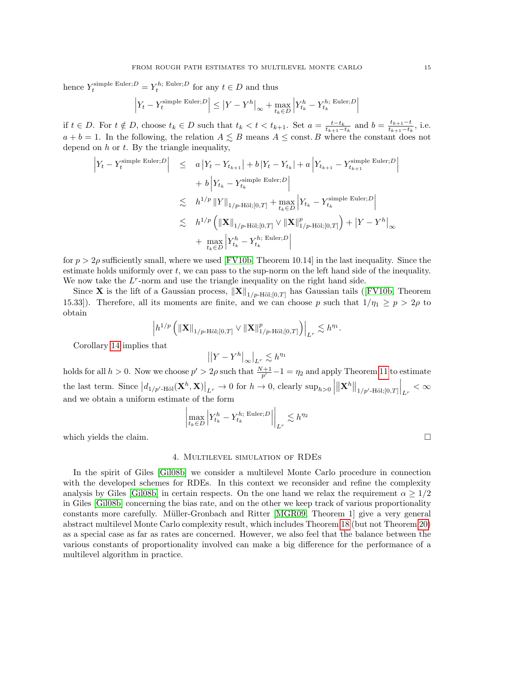hence  $Y_t^{\text{simple Euler};D} = Y_t^{h; \text{ Euler};D}$  for any  $t \in D$  and thus

$$
\left| Y_t - Y_t^{\text{simple Euler};D} \right| \leq \left| Y - Y^h \right|_{\infty} + \max_{t_k \in D} \left| Y_{t_k}^h - Y_{t_k}^{h; \text{ Euler};D} \right|
$$

if  $t \in D$ . For  $t \notin D$ , choose  $t_k \in D$  such that  $t_k < t < t_{k+1}$ . Set  $a = \frac{t-t_k}{t_{k+1}-t_k}$  and  $b = \frac{t_{k+1}-t_k}{t_{k+1}-t_k}$  $\frac{t_{k+1}-t}{t_{k+1}-t_k}$ , i.e.  $a + b = 1$ . In the following, the relation  $A \leq B$  means  $A \leq \text{const.}$  B where the constant does not depend on  $h$  or  $t$ . By the triangle inequality,

$$
\begin{array}{rcl} \left|Y_{t}-Y_{t}^{\text{simple Euler};D}\right| & \leq & \displaystyle a\left|Y_{t}-Y_{t_{k+1}}\right|+b\left|Y_{t}-Y_{t_{k}}\right|+a\left|Y_{t_{k+1}}-Y_{t_{k+1}}^{\text{simple Euler};D}\right| \\ & & \displaystyle +b\left|Y_{t_{k}}-Y_{t_{k}}^{\text{simple Euler};D}\right| \\ & & \lesssim & \displaystyle h^{1/p}\left\|Y\right\|_{1/p\text{-H\"{o}l};[0,T]}+\max_{t_{k}\in D}\left|Y_{t_{k}}-Y_{t_{k}}^{\text{simple Euler};D}\right| \\ & & \lesssim & \displaystyle h^{1/p}\left(\left\|\mathbf{X}\right\|_{1/p\text{-H\"{o}l};[0,T]}\vee\left\|\mathbf{X}\right\|_{1/p\text{-H\"{o}l};[0,T]}\right)+\left|Y-Y^{h}\right|_{\infty} \\ & & \displaystyle +\max_{t_{k}\in D}\left|Y_{t_{k}}^{h}-Y_{t_{k}}^{h;\text{ Euler};D}\right| \end{array}
$$

for  $p > 2\rho$  sufficiently small, where we used [\[FV10b,](#page-32-2) Theorem 10.14] in the last inequality. Since the estimate holds uniformly over  $t$ , we can pass to the sup-norm on the left hand side of the inequality. We now take the  $L<sup>r</sup>$ -norm and use the triangle inequality on the right hand side.

Since **X** is the lift of a Gaussian process,  $\|\mathbf{X}\|_{1/p\text{-H\"{o}l};[0,T]}$  has Gaussian tails ([\[FV10b,](#page-32-2) Theorem 15.33]). Therefore, all its moments are finite, and we can choose p such that  $1/\eta_1 \ge p > 2\rho$  to obtain

$$
\left|h^{1/p}\left(\|{\bf X}\|_{1/p\text{-H\"{o}l};[0,T]}\vee\|{\bf X}\|_{1/p\text{-H\"{o}l};[0,T]}^p\right)\right|_{L^r}\lesssim h^{\eta_1}.
$$

Corollary [14](#page-11-0) implies that

$$
\big|\big|Y-Y^h\big|_\infty\big|_{L^r}\lesssim h^{\eta_1}
$$

holds for all  $h > 0$ . Now we choose  $p' > 2\rho$  such that  $\frac{N+1}{p'} - 1 = \eta_2$  and apply Theorem [11](#page-9-2) to estimate the last term. Since  $\left|d_{1/p'\text{-H\"{o}l}}(\mathbf{X}^h,\mathbf{X})\right|_{L^r} \to 0$  for  $h \to 0$ , clearly sup<sub>h>0</sub>  $\left\Vert \mathbf{X}^{h}\right\Vert _{1/p^{\prime}\text{-H\"{o}l;\left[0,T\right]}\right|_{L^{r}}<\infty$ and we obtain a uniform estimate of the form

$$
\left|\max_{t_k \in D} \left| Y_{t_k}^h - Y_{t_k}^{h; \; \mathrm{Euler}; D} \right| \right|_{L^r} \lesssim h^{\eta_2}
$$

which yields the claim.  $\Box$ 

#### 4. Multilevel simulation of RDEs

<span id="page-14-0"></span>In the spirit of Giles [\[Gil08b\]](#page-32-7) we consider a multilevel Monte Carlo procedure in connection with the developed schemes for RDEs. In this context we reconsider and refine the complexity analysis by Giles [\[Gil08b\]](#page-32-7) in certain respects. On the one hand we relax the requirement  $\alpha \geq 1/2$ in Giles [\[Gil08b\]](#page-32-7) concerning the bias rate, and on the other we keep track of various proportionality constants more carefully. Müller-Gronbach and Ritter [\[MGR09,](#page-32-11) Theorem 1] give a very general abstract multilevel Monte Carlo complexity result, which includes Theorem [18](#page-15-0) (but not Theorem [20\)](#page-18-0) as a special case as far as rates are concerned. However, we also feel that the balance between the various constants of proportionality involved can make a big difference for the performance of a multilevel algorithm in practice.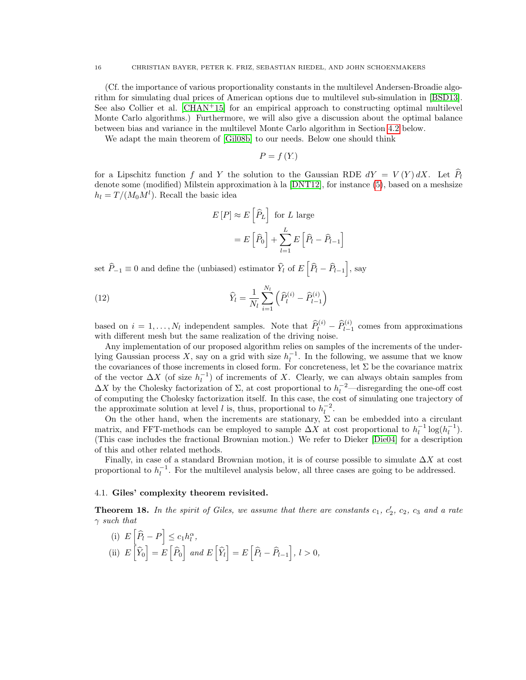(Cf. the importance of various proportionality constants in the multilevel Andersen-Broadie algorithm for simulating dual prices of American options due to multilevel sub-simulation in [\[BSD13\]](#page-31-10). See also Collier et al.  $[CHAN<sup>+</sup>15]$  $[CHAN<sup>+</sup>15]$  for an empirical approach to constructing optimal multilevel Monte Carlo algorithms.) Furthermore, we will also give a discussion about the optimal balance between bias and variance in the multilevel Monte Carlo algorithm in Section [4.2](#page-19-1) below.

We adapt the main theorem of [\[Gil08b\]](#page-32-7) to our needs. Below one should think

$$
P=f\left( Y_{\cdot}\right)
$$

for a Lipschitz function f and Y the solution to the Gaussian RDE  $dY = V(Y) dX$ . Let  $\hat{P}_b$ denote some (modified) Milstein approximation à la [\[DNT12\]](#page-31-3), for instance [\(5\)](#page-2-0), based on a meshsize  $h_l = T / (M_0 M^l)$ . Recall the basic idea

<span id="page-15-1"></span>
$$
E[P] \approx E\left[\hat{P}_L\right] \text{ for } L \text{ large}
$$

$$
= E\left[\hat{P}_0\right] + \sum_{l=1}^{L} E\left[\hat{P}_l - \hat{P}_{l-1}\right]
$$

set  $\widehat{P}_{-1} \equiv 0$  and define the (unbiased) estimator  $\widehat{Y}_l$  of  $E\left[\widehat{P}_l - \widehat{P}_{l-1}\right]$ , say

(12) 
$$
\widehat{Y}_l = \frac{1}{N_l} \sum_{i=1}^{N_l} \left( \widehat{P}_l^{(i)} - \widehat{P}_{l-1}^{(i)} \right)
$$

based on  $i = 1, \ldots, N_l$  independent samples. Note that  $\widehat{P}_l^{(i)} - \widehat{P}_{l-1}^{(i)}$  comes from approximations with different mesh but the same realization of the driving noise.

Any implementation of our proposed algorithm relies on samples of the increments of the underlying Gaussian process X, say on a grid with size  $h_l^{-1}$ . In the following, we assume that we know the covariances of those increments in closed form. For concreteness, let  $\Sigma$  be the covariance matrix of the vector  $\Delta X$  (of size  $h_l^{-1}$ ) of increments of X. Clearly, we can always obtain samples from  $\Delta X$  by the Cholesky factorization of  $\Sigma$ , at cost proportional to  $h_l^{-2}$ —disregarding the one-off cost of computing the Cholesky factorization itself. In this case, the cost of simulating one trajectory of the approximate solution at level l is, thus, proportional to  $h_l^{-2}$ .

On the other hand, when the increments are stationary,  $\Sigma$  can be embedded into a circulant matrix, and FFT-methods can be employed to sample  $\Delta X$  at cost proportional to  $h_l^{-1} \log(h_l^{-1})$ . (This case includes the fractional Brownian motion.) We refer to Dieker [\[Die04\]](#page-31-9) for a description of this and other related methods.

Finally, in case of a standard Brownian motion, it is of course possible to simulate  $\Delta X$  at cost proportional to  $h_l^{-1}$ . For the multilevel analysis below, all three cases are going to be addressed.

### 4.1. Giles' complexity theorem revisited.

<span id="page-15-0"></span>**Theorem 18.** In the spirit of Giles, we assume that there are constants  $c_1$ ,  $c'_2$ ,  $c_2$ ,  $c_3$  and a rate  $\gamma$  such that

(i)  $E\left[\widehat{P}_l - P\right] \leq c_1 h_l^{\alpha},$ (ii)  $E\left[\widehat{Y}_0\right] = E\left[\widehat{P}_0\right]$  and  $E\left[\widehat{Y}_l\right] = E\left[\widehat{P}_l - \widehat{P}_{l-1}\right]$ ,  $l > 0$ ,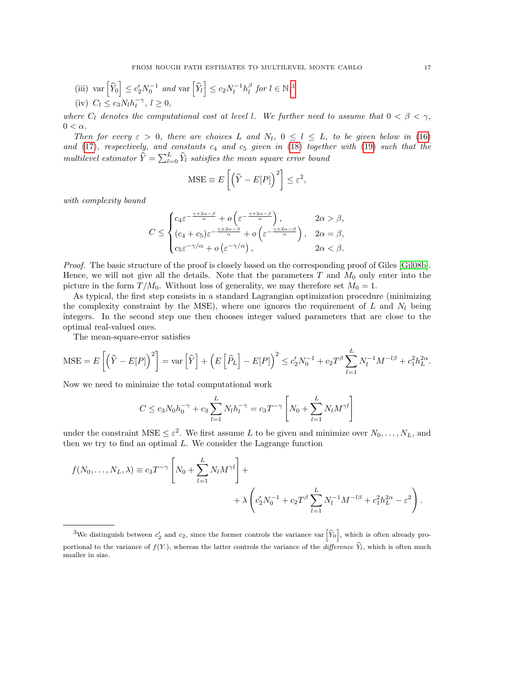(iii) var 
$$
\left[\widehat{Y}_0\right] \le c_2' N_0^{-1}
$$
 and var  $\left[\widehat{Y}_l\right] \le c_2 N_l^{-1} h_l^{\beta}$  for  $l \in \mathbb{N},^3$   
(iv)  $C_l \le c_3 N_l h_l^{-\gamma}, l \ge 0$ ,

where  $C_l$  denotes the computational cost at level l. We further need to assume that  $0 < \beta < \gamma$ ,  $0 < \alpha$ .

Then for every  $\varepsilon > 0$ , there are choices L and  $N_l$ ,  $0 \le l \le L$ , to be given below in [\(16\)](#page-17-0) and [\(17\)](#page-17-1), respectively, and constants  $c_4$  and  $c_5$  given in [\(18\)](#page-17-2) together with [\(19\)](#page-18-1) such that the multilevel estimator  $\hat{Y} = \sum_{l=0}^{L} \hat{Y}_l$  satisfies the mean square error bound

$$
\text{MSE} \equiv E\left[\left(\hat{Y} - E[P]\right)^2\right] \le \varepsilon^2
$$

,

with complexity bound

$$
C \leq \begin{cases} c_4 \varepsilon^{-\frac{\gamma+2\alpha-\beta}{\alpha}} + o\left(\varepsilon^{-\frac{\gamma+2\alpha-\beta}{\alpha}}\right), & 2\alpha > \beta, \\ (c_4 + c_5)\varepsilon^{-\frac{\gamma+2\alpha-\beta}{\alpha}} + o\left(\varepsilon^{-\frac{\gamma+2\alpha-\beta}{\alpha}}\right), & 2\alpha = \beta, \\ c_5 \varepsilon^{-\gamma/\alpha} + o\left(\varepsilon^{-\gamma/\alpha}\right), & 2\alpha < \beta. \end{cases}
$$

Proof. The basic structure of the proof is closely based on the corresponding proof of Giles [\[Gil08b\]](#page-32-7). Hence, we will not give all the details. Note that the parameters  $T$  and  $M_0$  only enter into the picture in the form  $T/M_0$ . Without loss of generality, we may therefore set  $M_0 = 1$ .

As typical, the first step consists in a standard Lagrangian optimization procedure (minimizing the complexity constraint by the MSE), where one ignores the requirement of  $L$  and  $N_l$  being integers. In the second step one then chooses integer valued parameters that are close to the optimal real-valued ones.

The mean-square-error satisfies

$$
\text{MSE} = E\left[\left(\widehat{Y} - E[P]\right)^2\right] = \text{var}\left[\widehat{Y}\right] + \left(E\left[\widehat{P}_L\right] - E[P]\right)^2 \le c_2' N_0^{-1} + c_2 T^\beta \sum_{l=1}^L N_l^{-1} M^{-l\beta} + c_1^2 h_L^{2\alpha}.
$$

Now we need to minimize the total computational work

$$
C \le c_3 N_0 h_0^{-\gamma} + c_3 \sum_{l=1}^{L} N_l h_l^{-\gamma} = c_3 T^{-\gamma} \left[ N_0 + \sum_{l=1}^{L} N_l M^{\gamma l} \right]
$$

under the constraint  $MSE \leq \varepsilon^2$ . We first assume L to be given and minimize over  $N_0, \ldots, N_L$ , and then we try to find an optimal  $L$ . We consider the Lagrange function

$$
f(N_0, ..., N_L, \lambda) \equiv c_3 T^{-\gamma} \left[ N_0 + \sum_{l=1}^L N_l M^{\gamma l} \right] +
$$
  
+  $\lambda \left( c_2' N_0^{-1} + c_2 T^\beta \sum_{l=1}^L N_l^{-1} M^{-l\beta} + c_1^2 h_L^{2\alpha} - \varepsilon^2 \right).$ 

<span id="page-16-0"></span><sup>&</sup>lt;sup>3</sup>We distinguish between  $c'_2$  and  $c_2$ , since the former controls the variance var  $\left[\hat{Y}_0\right]$ , which is often already proportional to the variance of  $f(Y)$ , whereas the latter controls the variance of the *difference*  $Y_l$ , which is often much smaller in size.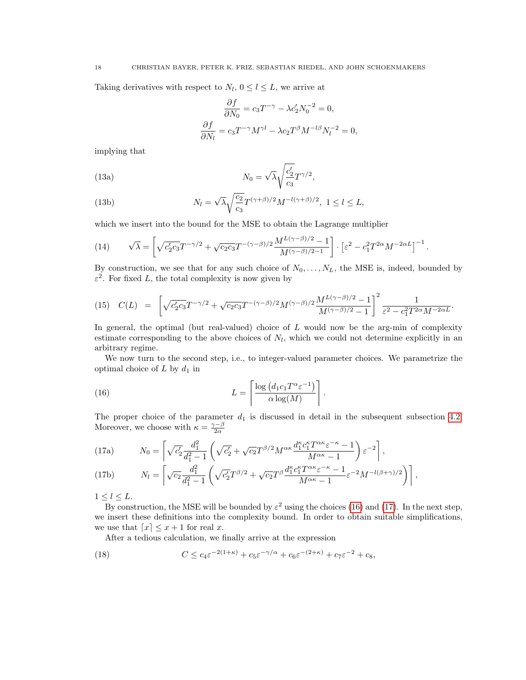Taking derivatives with respect to  $N_l$ ,  $0 \le l \le L$ , we arrive at

$$
\frac{\partial f}{\partial N_0} = c_3 T^{-\gamma} - \lambda c_2' N_0^{-2} = 0,
$$
  

$$
\frac{\partial f}{\partial N_l} = c_3 T^{-\gamma} M^{\gamma l} - \lambda c_2 T^{\beta} M^{-l\beta} N_l^{-2} = 0,
$$

implying that

(13a) 
$$
N_0 = \sqrt{\lambda} \sqrt{\frac{c_2'}{c_3}} T^{\gamma/2},
$$

(13b) 
$$
N_l = \sqrt{\lambda} \sqrt{\frac{c_2}{c_3}} T^{(\gamma+\beta)/2} M^{-l(\gamma+\beta)/2}, \ 1 \le l \le L,
$$

which we insert into the bound for the MSE to obtain the Lagrange multiplier

(14) 
$$
\sqrt{\lambda} = \left[ \sqrt{c_2' c_3} T^{-\gamma/2} + \sqrt{c_2 c_3} T^{-(\gamma - \beta)/2} \frac{M^{L(\gamma - \beta)/2} - 1}{M^{(\gamma - \beta)/2 - 1}} \right] \cdot \left[ \varepsilon^2 - c_1^2 T^{2\alpha} M^{-2\alpha L} \right]^{-1}.
$$

By construction, we see that for any such choice of  $N_0, \ldots, N_L$ , the MSE is, indeed, bounded by  $\varepsilon^2$ . For fixed L, the total complexity is now given by

<span id="page-17-3"></span>
$$
(15) \quad C(L) = \left[ \sqrt{c_2' c_3} T^{-\gamma/2} + \sqrt{c_2 c_3} T^{-(\gamma-\beta)/2} M^{(\gamma-\beta)/2} \frac{M^{L(\gamma-\beta)/2} - 1}{M^{(\gamma-\beta)/2} - 1} \right]^2 \frac{1}{\varepsilon^2 - c_1^2 T^{2\alpha} M^{-2\alpha L}}.
$$

In general, the optimal (but real-valued) choice of  $L$  would now be the arg-min of complexity estimate corresponding to the above choices of  $N_l$ , which we could not determine explicitly in an arbitrary regime.

We now turn to the second step, i.e., to integer-valued parameter choices. We parametrize the optimal choice of  $L$  by  $d_1$  in

<span id="page-17-1"></span><span id="page-17-0"></span>.

(16) 
$$
L = \left\lceil \frac{\log (d_1 c_1 T^{\alpha} \varepsilon^{-1})}{\alpha \log(M)} \right\rceil
$$

The proper choice of the parameter  $d_1$  is discussed in detail in the subsequent subsection [4.2.](#page-19-1) Moreover, we choose with  $\kappa = \frac{\gamma - \beta}{2\alpha}$ 

(17a) 
$$
N_0 = \left[ \sqrt{c_2'} \frac{d_1^2}{d_1^2 - 1} \left( \sqrt{c_2'} + \sqrt{c_2} T^{\beta/2} M^{\alpha \kappa} \frac{d_1^{\kappa} c_1^{\kappa} T^{\alpha \kappa} \varepsilon^{-\kappa} - 1}{M^{\alpha \kappa} - 1} \right) \varepsilon^{-2} \right],
$$

(17b) 
$$
N_l = \left[ \sqrt{c_2} \frac{d_1^2}{d_1^2 - 1} \left( \sqrt{c_2'} T^{\beta/2} + \sqrt{c_2'} T^{\beta} \frac{d_1^{\kappa} c_1^{\kappa} T^{\alpha \kappa} \varepsilon^{-\kappa} - 1}{M^{\alpha \kappa} - 1} \varepsilon^{-2} M^{-l(\beta + \gamma)/2} \right) \right],
$$

 $1 \leq l \leq L$ .

By construction, the MSE will be bounded by  $\varepsilon^2$  using the choices [\(16\)](#page-17-0) and [\(17\)](#page-17-1). In the next step, we insert these definitions into the complexity bound. In order to obtain suitable simplifications, we use that  $\lceil x \rceil \leq x + 1$  for real x.

<span id="page-17-2"></span>After a tedious calculation, we finally arrive at the expression

(18) 
$$
C \leq c_4 \varepsilon^{-2(1+\kappa)} + c_5 \varepsilon^{-\gamma/\alpha} + c_6 \varepsilon^{-(2+\kappa)} + c_7 \varepsilon^{-2} + c_8,
$$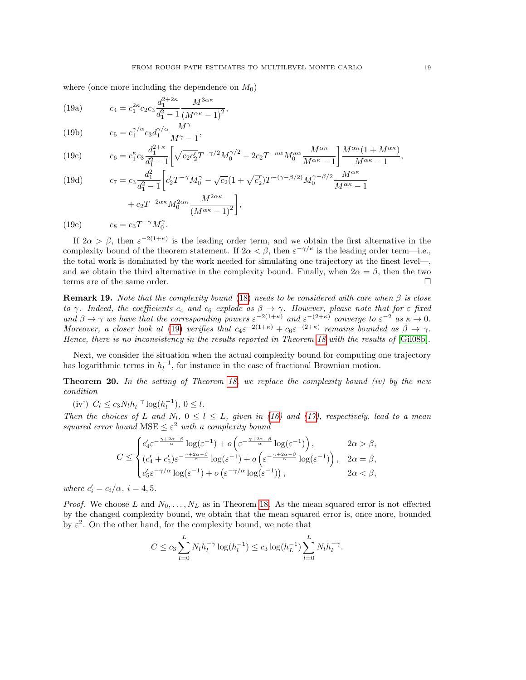<span id="page-18-1"></span>where (once more including the dependence on  $M_0$ )

(19a) 
$$
c_4 = c_1^{2\kappa} c_2 c_3 \frac{d_1^{2+2\kappa}}{d_1^2 - 1} \frac{M^{3\alpha\kappa}}{(M^{\alpha\kappa} - 1)^2},
$$

(19b) 
$$
c_5 = c_1^{\gamma/\alpha} c_3 d_1^{\gamma/\alpha} \frac{M^{\gamma}}{M^{\gamma}-1},
$$

(19c) 
$$
c_6 = c_1^{\kappa} c_3 \frac{d_1^{2+\kappa}}{d_1^2 - 1} \left[ \sqrt{c_2 c_2'} T^{-\gamma/2} M_0^{\gamma/2} - 2c_2 T^{-\kappa \alpha} M_0^{\kappa \alpha} \frac{M^{\alpha \kappa}}{M^{\alpha \kappa} - 1} \right] \frac{M^{\alpha \kappa} (1 + M^{\alpha \kappa})}{M^{\alpha \kappa} - 1},
$$

(19d) 
$$
c_7 = c_3 \frac{d_1^2}{d_1^2 - 1} \left[ c_2' T^{-\gamma} M_0^{\gamma} - \sqrt{c_2} (1 + \sqrt{c_2'}) T^{-(\gamma - \beta/2)} M_0^{\gamma - \beta/2} \frac{M^{\alpha \kappa}}{M^{\alpha \kappa} - 1} + c_2 T^{-2\alpha \kappa} M_0^{2\alpha \kappa} \frac{M^{2\alpha \kappa}}{(M^{\alpha \kappa} - 1)^2} \right],
$$

(19e)  $c_8 = c_3 T^{-\gamma} M_0^{\gamma}$ .

If  $2\alpha > \beta$ , then  $\varepsilon^{-2(1+\kappa)}$  is the leading order term, and we obtain the first alternative in the complexity bound of the theorem statement. If  $2\alpha < \beta$ , then  $\varepsilon^{-\gamma/\kappa}$  is the leading order term—i.e., the total work is dominated by the work needed for simulating one trajectory at the finest level—, and we obtain the third alternative in the complexity bound. Finally, when  $2\alpha = \beta$ , then the two terms are of the same order.

**Remark 19.** Note that the complexity bound [\(18\)](#page-17-2) needs to be considered with care when  $\beta$  is close to  $\gamma$ . Indeed, the coefficients  $c_4$  and  $c_6$  explode as  $\beta \to \gamma$ . However, please note that for  $\varepsilon$  fixed and  $\beta \to \gamma$  we have that the corresponding powers  $\varepsilon^{-2(1+\kappa)}$  and  $\varepsilon^{-(2+\kappa)}$  converge to  $\varepsilon^{-2}$  as  $\kappa \to 0$ . Moreover, a closer look at [\(19\)](#page-18-1) verifies that  $c_4\varepsilon^{-2(1+\kappa)} + c_6\varepsilon^{-(2+\kappa)}$  remains bounded as  $\beta \to \gamma$ . Hence, there is no inconsistency in the results reported in Theorem [18](#page-15-0) with the results of [\[Gil08b\]](#page-32-7).

Next, we consider the situation when the actual complexity bound for computing one trajectory has logarithmic terms in  $h_l^{-1}$ , for instance in the case of fractional Brownian motion.

<span id="page-18-0"></span>**Theorem 20.** In the setting of Theorem [18,](#page-15-0) we replace the complexity bound (iv) by the new condition

(iv')  $C_l \le c_3 N_l h_l^{-\gamma} \log(h_l^{-1}), 0 \le l.$ 

Then the choices of L and  $N_l$ ,  $0 \le l \le L$ , given in [\(16\)](#page-17-0) and [\(17\)](#page-17-1), respectively, lead to a mean squared error bound MSE  $\leq \varepsilon^2$  with a complexity bound

$$
C \leq \begin{cases} c'_4 \varepsilon^{-\frac{\gamma + 2\alpha - \beta}{\alpha}} \log(\varepsilon^{-1}) + o\left(\varepsilon^{-\frac{\gamma + 2\alpha - \beta}{\alpha}} \log(\varepsilon^{-1})\right), & 2\alpha > \beta, \\ (c'_4 + c'_5) \varepsilon^{-\frac{\gamma + 2\alpha - \beta}{\alpha}} \log(\varepsilon^{-1}) + o\left(\varepsilon^{-\frac{\gamma + 2\alpha - \beta}{\alpha}} \log(\varepsilon^{-1})\right), & 2\alpha = \beta, \\ c'_5 \varepsilon^{-\gamma/\alpha} \log(\varepsilon^{-1}) + o\left(\varepsilon^{-\gamma/\alpha} \log(\varepsilon^{-1})\right), & 2\alpha < \beta, \end{cases}
$$

where  $c_i' = c_i/\alpha$ ,  $i = 4, 5$ .

*Proof.* We choose L and  $N_0, \ldots, N_L$  as in Theorem [18.](#page-15-0) As the mean squared error is not effected by the changed complexity bound, we obtain that the mean squared error is, once more, bounded by  $\varepsilon^2$ . On the other hand, for the complexity bound, we note that

$$
C \le c_3 \sum_{l=0}^{L} N_l h_l^{-\gamma} \log(h_l^{-1}) \le c_3 \log(h_L^{-1}) \sum_{l=0}^{L} N_l h_l^{-\gamma}.
$$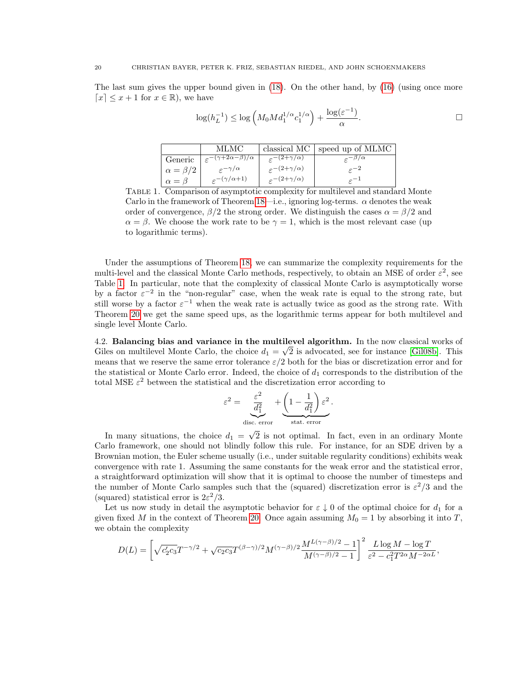The last sum gives the upper bound given in [\(18\)](#page-17-2). On the other hand, by [\(16\)](#page-17-0) (using once more  $[x] \leq x + 1$  for  $x \in \mathbb{R}$ , we have

$$
\log(h_L^{-1}) \le \log\left(M_0 M d_1^{1/\alpha} c_1^{1/\alpha}\right) + \frac{\log(\varepsilon^{-1})}{\alpha}.
$$

|                    | MLMC -                                                   |                                    | classical $MC$ speed up of MLMC |
|--------------------|----------------------------------------------------------|------------------------------------|---------------------------------|
| Generic            | $+\frac{1}{\varepsilon}-(\gamma+2\alpha-\beta)/\alpha$ , | $\varepsilon^{-(2+\gamma/\alpha)}$ | $\varepsilon^{-\beta/\alpha}$   |
| $\alpha = \beta/2$ | $\epsilon^{-\gamma/\alpha}$                              | $\varepsilon^{-(2+\gamma/\alpha)}$ | $\epsilon^{-2}$                 |
| $\alpha = \beta$   | $\epsilon^{-(\gamma/\alpha+1)}$                          | $\varepsilon^{-(2+\gamma/\alpha)}$ | $\epsilon^{-1}$                 |

<span id="page-19-0"></span>Table 1. Comparison of asymptotic complexity for multilevel and standard Monte Carlo in the framework of Theorem [18—](#page-15-0)i.e., ignoring log-terms.  $\alpha$  denotes the weak order of convergence,  $\beta/2$  the strong order. We distinguish the cases  $\alpha = \beta/2$  and  $\alpha = \beta$ . We choose the work rate to be  $\gamma = 1$ , which is the most relevant case (up to logarithmic terms).

Under the assumptions of Theorem [18,](#page-15-0) we can summarize the complexity requirements for the multi-level and the classical Monte Carlo methods, respectively, to obtain an MSE of order  $\varepsilon^2$ , see Table [1.](#page-19-0) In particular, note that the complexity of classical Monte Carlo is asymptotically worse by a factor  $\varepsilon^{-2}$  in the "non-regular" case, when the weak rate is equal to the strong rate, but still worse by a factor  $\varepsilon^{-1}$  when the weak rate is actually twice as good as the strong rate. With Theorem [20](#page-18-0) we get the same speed ups, as the logarithmic terms appear for both multilevel and single level Monte Carlo.

<span id="page-19-1"></span>4.2. Balancing bias and variance in the multilevel algorithm. In the now classical works of Giles on multilevel Monte Carlo, the choice  $d_1 = \sqrt{2}$  is advocated, see for instance [\[Gil08b\]](#page-32-7). This means that we reserve the same error tolerance  $\varepsilon/2$  both for the bias or discretization error and for the statistical or Monte Carlo error. Indeed, the choice of  $d_1$  corresponds to the distribution of the total MSE  $\varepsilon^2$  between the statistical and the discretization error according to

$$
\varepsilon^{2} = \underbrace{\frac{\varepsilon^{2}}{d_{1}^{2}}}_{\text{disc. error}} + \underbrace{\left(1 - \frac{1}{d_{1}^{2}}\right) \varepsilon^{2}}_{\text{stat. error}}.
$$

In many situations, the choice  $d_1 =$ 2 is not optimal. In fact, even in an ordinary Monte Carlo framework, one should not blindly follow this rule. For instance, for an SDE driven by a Brownian motion, the Euler scheme usually (i.e., under suitable regularity conditions) exhibits weak convergence with rate 1. Assuming the same constants for the weak error and the statistical error, a straightforward optimization will show that it is optimal to choose the number of timesteps and the number of Monte Carlo samples such that the (squared) discretization error is  $\varepsilon^2/3$  and the (squared) statistical error is  $2\varepsilon^2/3$ .

Let us now study in detail the asymptotic behavior for  $\varepsilon \downarrow 0$  of the optimal choice for  $d_1$  for a given fixed M in the context of Theorem [20.](#page-18-0) Once again assuming  $M_0 = 1$  by absorbing it into T, we obtain the complexity

$$
D(L) = \left[ \sqrt{c_2' c_3} T^{-\gamma/2} + \sqrt{c_2 c_3} T^{(\beta - \gamma)/2} M^{(\gamma - \beta)/2} \frac{M^{L(\gamma - \beta)/2} - 1}{M^{(\gamma - \beta)/2} - 1} \right]^2 \frac{L \log M - \log T}{\varepsilon^2 - c_1^2 T^{2\alpha} M^{-2\alpha L}},
$$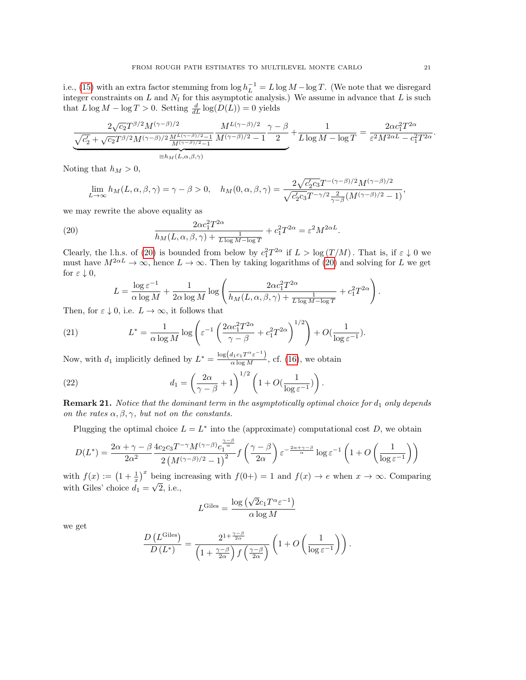i.e., [\(15\)](#page-17-3) with an extra factor stemming from  $\log h_L^{-1} = L \log M - \log T$ . (We note that we disregard integer constraints on L and  $N_l$  for this asymptotic analysis.) We assume in advance that L is such that  $L \log M - \log T > 0$ . Setting  $\frac{d}{dL} \log(D(L)) = 0$  yields

$$
\underbrace{\frac{2\sqrt{c_2}T^{\beta/2}M^{(\gamma-\beta)/2}}{M^{(\gamma-\beta)/2}M^{(\gamma-\beta)/2}-1}}_{\equiv h_M(L,\alpha,\beta,\gamma)}\frac{M^{L(\gamma-\beta)/2}}{M^{(\gamma-\beta)/2}-1}\frac{\gamma-\beta}{2}+\frac{1}{L\log M-\log T}=\frac{2\alpha c_1^2T^{2\alpha}}{\varepsilon^2M^{2\alpha L}-c_1^2T^{2\alpha}}.
$$

Noting that  $h_M > 0$ ,

$$
\lim_{L\to\infty} h_M(L,\alpha,\beta,\gamma)=\gamma-\beta>0,\quad h_M(0,\alpha,\beta,\gamma)=\frac{2\sqrt{c_2'c_3}T^{-(\gamma-\beta)/2}M^{(\gamma-\beta)/2}}{\sqrt{c_2'c_3}T^{-\gamma/2}\frac{2}{\gamma-\beta}(M^{(\gamma-\beta)/2}-1)},
$$

we may rewrite the above equality as

(20) 
$$
\frac{2\alpha c_1^2 T^{2\alpha}}{h_M(L, \alpha, \beta, \gamma) + \frac{1}{L \log M - \log T}} + c_1^2 T^{2\alpha} = \varepsilon^2 M^{2\alpha L}.
$$

Clearly, the l.h.s. of [\(20\)](#page-20-0) is bounded from below by  $c_1^2T^{2\alpha}$  if  $L > \log(T/M)$ . That is, if  $\varepsilon \downarrow 0$  we must have  $M^{2\alpha L} \to \infty$ , hence  $L \to \infty$ . Then by taking logarithms of [\(20\)](#page-20-0) and solving for L we get for  $\varepsilon \downarrow 0$ ,

<span id="page-20-0"></span>
$$
L = \frac{\log \varepsilon^{-1}}{\alpha \log M} + \frac{1}{2\alpha \log M} \log \left( \frac{2\alpha c_1^2 T^{2\alpha}}{h_M(L, \alpha, \beta, \gamma) + \frac{1}{L \log M - \log T}} + c_1^2 T^{2\alpha} \right).
$$

Then, for  $\varepsilon \downarrow 0$ , i.e.  $L \to \infty$ , it follows that

(21) 
$$
L^* = \frac{1}{\alpha \log M} \log \left( \varepsilon^{-1} \left( \frac{2\alpha c_1^2 T^{2\alpha}}{\gamma - \beta} + c_1^2 T^{2\alpha} \right)^{1/2} \right) + O(\frac{1}{\log \varepsilon^{-1}}).
$$

Now, with  $d_1$  implicitly defined by  $L^* = \frac{\log(d_1 c_1 T^{\alpha} \varepsilon^{-1})}{\alpha \log M}$ , cf. [\(16\)](#page-17-0), we obtain

(22) 
$$
d_1 = \left(\frac{2\alpha}{\gamma - \beta} + 1\right)^{1/2} \left(1 + O(\frac{1}{\log \varepsilon^{-1}})\right).
$$

L

**Remark 21.** Notice that the dominant term in the asymptotically optimal choice for  $d_1$  only depends on the rates  $\alpha, \beta, \gamma$ , but not on the constants.

Plugging the optimal choice  $L = L^*$  into the (approximate) computational cost D, we obtain

$$
D(L^*) = \frac{2\alpha + \gamma - \beta}{2\alpha^2} \frac{4c_2c_3T^{-\gamma}M^{(\gamma-\beta)}c_1^{\frac{\gamma-\beta}{\alpha}}}{2\left(M^{(\gamma-\beta)/2}-1\right)^2} f\left(\frac{\gamma-\beta}{2\alpha}\right) \varepsilon^{-\frac{2\alpha + \gamma-\beta}{\alpha}} \log \varepsilon^{-1} \left(1 + O\left(\frac{1}{\log \varepsilon^{-1}}\right)\right)
$$

with  $f(x) := (1 + \frac{1}{x})^x$  being increasing with  $f(0+) = 1$  and  $f(x) \to e$  when  $x \to \infty$ . Comparing with Giles' choice  $d_1 =$ ∪r<br>∪ 2, i.e.,

$$
L^{\text{Giles}} = \frac{\log\left(\sqrt{2}c_1 T^{\alpha} \varepsilon^{-1}\right)}{\alpha \log M}
$$

we get

$$
\frac{D(L^{\text{Giles}})}{D(L^*)} = \frac{2^{1+\frac{\gamma-\beta}{2\alpha}}}{\left(1+\frac{\gamma-\beta}{2\alpha}\right)f\left(\frac{\gamma-\beta}{2\alpha}\right)} \left(1+O\left(\frac{1}{\log \varepsilon^{-1}}\right)\right).
$$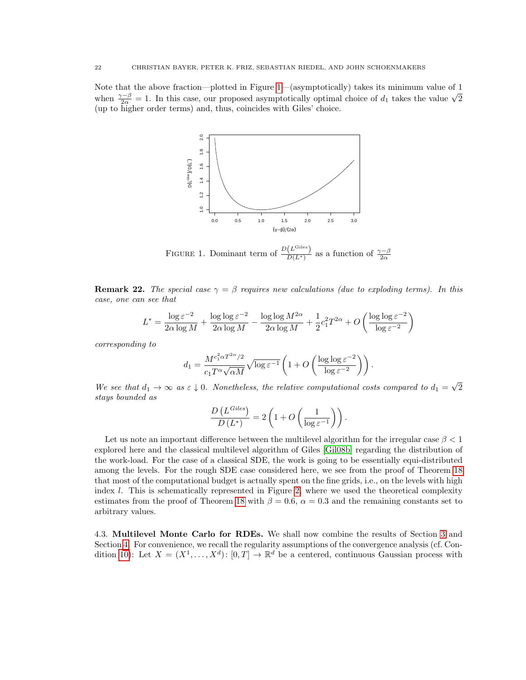Note that the above fraction—plotted in Figure [1—](#page-21-0)(asymptotically) takes its minimum value of 1 Note that the above fraction—plotted in rigure 1—(asymptotically) takes its minimum value of 1 when  $\frac{\gamma-\beta}{2\alpha} = 1$ . In this case, our proposed asymptotically optimal choice of  $d_1$  takes the value  $\sqrt{2}$ (up to higher order terms) and, thus, coincides with Giles' choice.



<span id="page-21-0"></span>FIGURE 1. Dominant term of  $\frac{D(L^{\text{Giles}})}{D(L^*)}$  $\frac{(L^{\text{onoc}})}{D(L^*)}$  as a function of  $\frac{\gamma-\beta}{2\alpha}$ 

**Remark 22.** The special case  $\gamma = \beta$  requires new calculations (due to exploding terms). In this case, one can see that

$$
L^* = \frac{\log \varepsilon^{-2}}{2\alpha\log M} + \frac{\log\log \varepsilon^{-2}}{2\alpha\log M} - \frac{\log\log M^{2\alpha}}{2\alpha\log M} + \frac{1}{2}c_1^2T^{2\alpha} + O\left(\frac{\log\log \varepsilon^{-2}}{\log \varepsilon^{-2}}\right)
$$

corresponding to

$$
d_1 = \frac{M^{c_1^2 \alpha T^{2\alpha}/2}}{c_1 T^{\alpha} \sqrt{\alpha M}} \sqrt{\log \varepsilon^{-1}} \left( 1 + O\left( \frac{\log \log \varepsilon^{-2}}{\log \varepsilon^{-2}} \right) \right).
$$

We see that  $d_1 \rightarrow \infty$  as  $\varepsilon \downarrow 0$ . Nonetheless, the relative computational costs compared to  $d_1 =$ √ 2 stays bounded as

$$
\frac{D(L^{Giles})}{D(L^*)}=2\left(1+O\left(\frac{1}{\log \varepsilon^{-1}}\right)\right).
$$

Let us note an important difference between the multilevel algorithm for the irregular case  $\beta < 1$ explored here and the classical multilevel algorithm of Giles [\[Gil08b\]](#page-32-7) regarding the distribution of the work-load. For the case of a classical SDE, the work is going to be essentially equi-distributed among the levels. For the rough SDE case considered here, we see from the proof of Theorem [18](#page-15-0) that most of the computational budget is actually spent on the fine grids, i.e., on the levels with high index  $l$ . This is schematically represented in Figure [2,](#page-22-1) where we used the theoretical complexity estimates from the proof of Theorem [18](#page-15-0) with  $\beta = 0.6$ ,  $\alpha = 0.3$  and the remaining constants set to arbitrary values.

4.3. Multilevel Monte Carlo for RDEs. We shall now combine the results of Section [3](#page-8-0) and Section [4.](#page-14-0) For convenience, we recall the regularity assumptions of the convergence analysis (cf. Con-dition [10\)](#page-9-0): Let  $X = (X^1, \ldots, X^d) : [0, T] \to \mathbb{R}^d$  be a centered, continuous Gaussian process with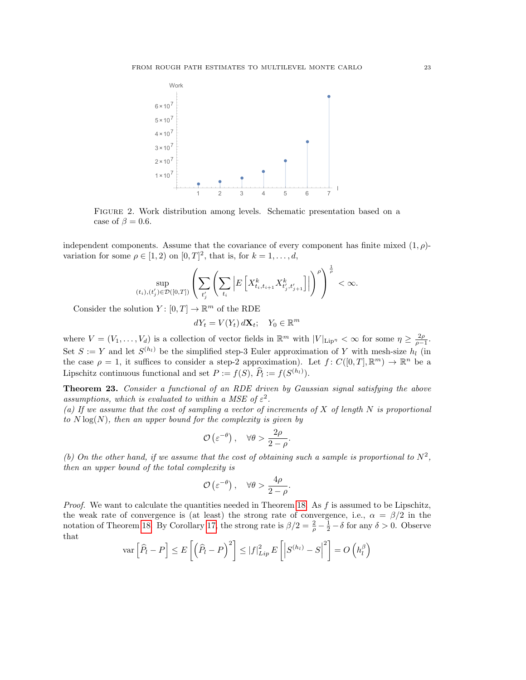

<span id="page-22-1"></span>Figure 2. Work distribution among levels. Schematic presentation based on a case of  $\beta = 0.6$ .

independent components. Assume that the covariance of every component has finite mixed  $(1, \rho)$ variation for some  $\rho \in [1,2)$  on  $[0,T]^2$ , that is, for  $k=1,\ldots,d$ ,

$$
\sup_{(t_i),(t'_j)\in\mathcal{D}([0,T])}\left(\sum_{t'_j}\left(\sum_{t_i}\left|E\left[X_{t_i,t_{i+1}}^kX_{t'_j,t'_{j+1}}^k\right]\right|\right)^{\rho}\right)^{\frac{1}{\rho}}<\infty.
$$

Consider the solution  $Y: [0, T] \to \mathbb{R}^m$  of the RDE

 $dY_t = V(Y_t) d\mathbf{X}_t; \quad Y_0 \in \mathbb{R}^m$ 

where  $V = (V_1, \ldots, V_d)$  is a collection of vector fields in  $\mathbb{R}^m$  with  $|V|_{\text{Lip}} \lt \infty$  for some  $\eta \geq \frac{2\rho}{\rho-1}$ . Set  $S := Y$  and let  $S^{(h_l)}$  be the simplified step-3 Euler approximation of Y with mesh-size  $h_l$  (in the case  $\rho = 1$ , it suffices to consider a step-2 approximation). Let  $f: C([0,T], \mathbb{R}^m) \to \mathbb{R}^n$  be a Lipschitz continuous functional and set  $P := f(S)$ ,  $\widehat{P}_l := f(S^{(h_l)})$ .

<span id="page-22-0"></span>Theorem 23. Consider a functional of an RDE driven by Gaussian signal satisfying the above assumptions, which is evaluated to within a MSE of  $\varepsilon^2$ .

(a) If we assume that the cost of sampling a vector of increments of  $X$  of length  $N$  is proportional to  $N \log(N)$ , then an upper bound for the complexity is given by

$$
\mathcal{O}\left(\varepsilon^{-\theta}\right), \quad \forall \theta > \frac{2\rho}{2-\rho}.
$$

(b) On the other hand, if we assume that the cost of obtaining such a sample is proportional to  $N^2$ , then an upper bound of the total complexity is

$$
\mathcal{O}\left(\varepsilon^{-\theta}\right), \quad \forall \theta > \frac{4\rho}{2-\rho}.
$$

*Proof.* We want to calculate the quantities needed in Theorem [18.](#page-15-0) As  $f$  is assumed to be Lipschitz, the weak rate of convergence is (at least) the strong rate of convergence, i.e.,  $\alpha = \beta/2$  in the notation of Theorem [18.](#page-15-0) By Corollary [17,](#page-13-0) the strong rate is  $\beta/2 = \frac{2}{\rho} - \frac{1}{2} - \delta$  for any  $\delta > 0$ . Observe that

$$
\operatorname{var}\left[\widehat{P}_l-P\right] \le E\left[\left(\widehat{P}_l-P\right)^2\right] \le |f|_{Lip}^2 E\left[\left|S^{(h_l)}-S\right|^2\right] = O\left(h_l^{\beta}\right)
$$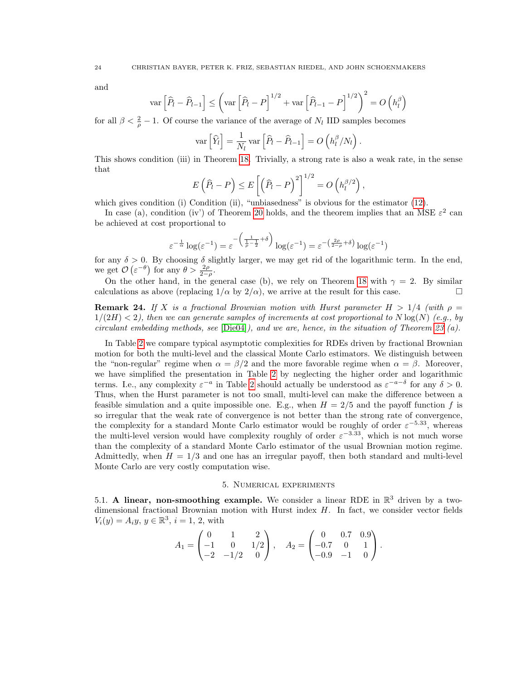and

$$
\operatorname{var}\left[\widehat{P}_{l} - \widehat{P}_{l-1}\right] \leq \left(\operatorname{var}\left[\widehat{P}_{l} - P\right]^{1/2} + \operatorname{var}\left[\widehat{P}_{l-1} - P\right]^{1/2}\right)^{2} = O\left(h_{l}^{\beta}\right)
$$

for all  $\beta < \frac{2}{\rho} - 1$ . Of course the variance of the average of N<sub>l</sub> IID samples becomes

$$
\text{var}\left[\widehat{Y}_l\right] = \frac{1}{N_l} \text{var}\left[\widehat{P}_l - \widehat{P}_{l-1}\right] = O\left(h_l^{\beta}/N_l\right)
$$

.

This shows condition (iii) in Theorem [18.](#page-15-0) Trivially, a strong rate is also a weak rate, in the sense that

$$
E(\widehat{P}_l - P) \le E\left[\left(\widehat{P}_l - P\right)^2\right]^{1/2} = O\left(h_l^{\beta/2}\right),
$$

which gives condition (i) Condition (ii), "unbiasedness" is obvious for the estimator [\(12\)](#page-15-1).

In case (a), condition (iv') of Theorem [20](#page-18-0) holds, and the theorem implies that an MSE  $\varepsilon^2$  can be achieved at cost proportional to

$$
\varepsilon^{-\frac{1}{\alpha}}\log(\varepsilon^{-1}) = \varepsilon^{-\left(\frac{1}{\rho-\frac{1}{2}}+\delta\right)}\log(\varepsilon^{-1}) = \varepsilon^{-\left(\frac{2\rho}{2-\rho}+\delta\right)}\log(\varepsilon^{-1})
$$

for any  $\delta > 0$ . By choosing  $\delta$  slightly larger, we may get rid of the logarithmic term. In the end, we get  $\mathcal{O}\left(\varepsilon^{-\theta}\right)$  for any  $\theta > \frac{2\rho}{2-\rho}$ .

On the other hand, in the general case (b), we rely on Theorem [18](#page-15-0) with  $\gamma = 2$ . By similar calculations as above (replacing  $1/\alpha$  by  $2/\alpha$ ), we arrive at the result for this case.

**Remark 24.** If X is a fractional Brownian motion with Hurst parameter  $H > 1/4$  (with  $\rho =$  $1/(2H) < 2$ , then we can generate samples of increments at cost proportional to N  $log(N)$  (e.g., by circulant embedding methods, see  $[\text{Die04}]$ , and we are, hence, in the situation of Theorem [23](#page-22-0) (a).

In Table [2](#page-24-0) we compare typical asymptotic complexities for RDEs driven by fractional Brownian motion for both the multi-level and the classical Monte Carlo estimators. We distinguish between the "non-regular" regime when  $\alpha = \beta/2$  and the more favorable regime when  $\alpha = \beta$ . Moreover, we have simplified the presentation in Table [2](#page-24-0) by neglecting the higher order and logarithmic terms. I.e., any complexity  $\varepsilon^{-a}$  in Table [2](#page-24-0) should actually be understood as  $\varepsilon^{-a-\delta}$  for any  $\delta > 0$ . Thus, when the Hurst parameter is not too small, multi-level can make the difference between a feasible simulation and a quite impossible one. E.g., when  $H = 2/5$  and the payoff function f is so irregular that the weak rate of convergence is not better than the strong rate of convergence, the complexity for a standard Monte Carlo estimator would be roughly of order  $\varepsilon^{-5.33}$ , whereas the multi-level version would have complexity roughly of order  $\varepsilon^{-3.33}$ , which is not much worse than the complexity of a standard Monte Carlo estimator of the usual Brownian motion regime. Admittedly, when  $H = 1/3$  and one has an irregular payoff, then both standard and multi-level Monte Carlo are very costly computation wise.

# 5. Numerical experiments

<span id="page-23-0"></span>5.1. A linear, non-smoothing example. We consider a linear RDE in  $\mathbb{R}^3$  driven by a twodimensional fractional Brownian motion with Hurst index  $H$ . In fact, we consider vector fields  $V_i(y) = A_i y, y \in \mathbb{R}^3, i = 1, 2$ , with

$$
A_1 = \begin{pmatrix} 0 & 1 & 2 \\ -1 & 0 & 1/2 \\ -2 & -1/2 & 0 \end{pmatrix}, \quad A_2 = \begin{pmatrix} 0 & 0.7 & 0.9 \\ -0.7 & 0 & 1 \\ -0.9 & -1 & 0 \end{pmatrix}.
$$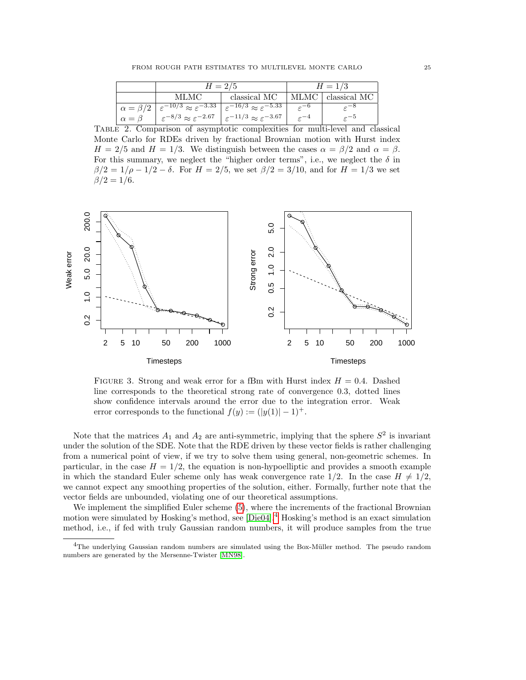|                    | $H = 2/5$                                        |                                                   | $H = 1/3$          |                    |
|--------------------|--------------------------------------------------|---------------------------------------------------|--------------------|--------------------|
|                    | MLMC                                             | classical MC                                      |                    | MLMC classical MC  |
| $\alpha = \beta/2$ | $\epsilon^{-10/3} \approx \epsilon^{-3.33}$      | $\epsilon^{-16/3} \approx \epsilon^{-5.33}$       | $\varepsilon^{-0}$ |                    |
| $\alpha = \beta$   | $\varepsilon^{-8/3} \approx \varepsilon^{-2.67}$ | $\varepsilon^{-11/3} \approx \varepsilon^{-3.67}$ |                    | $\varepsilon^{-5}$ |

<span id="page-24-0"></span>Table 2. Comparison of asymptotic complexities for multi-level and classical Monte Carlo for RDEs driven by fractional Brownian motion with Hurst index  $H = 2/5$  and  $H = 1/3$ . We distinguish between the cases  $\alpha = \beta/2$  and  $\alpha = \beta$ . For this summary, we neglect the "higher order terms", i.e., we neglect the  $\delta$  in  $\beta/2 = 1/\rho - 1/2 - \delta$ . For  $H = 2/5$ , we set  $\beta/2 = 3/10$ , and for  $H = 1/3$  we set  $\beta/2 = 1/6$ .



<span id="page-24-2"></span>FIGURE 3. Strong and weak error for a fBm with Hurst index  $H = 0.4$ . Dashed line corresponds to the theoretical strong rate of convergence 0.3, dotted lines show confidence intervals around the error due to the integration error. Weak error corresponds to the functional  $f(y) := (|y(1)| - 1)^+$ .

Note that the matrices  $A_1$  and  $A_2$  are anti-symmetric, implying that the sphere  $S^2$  is invariant under the solution of the SDE. Note that the RDE driven by these vector fields is rather challenging from a numerical point of view, if we try to solve them using general, non-geometric schemes. In particular, in the case  $H = 1/2$ , the equation is non-hypoelliptic and provides a smooth example in which the standard Euler scheme only has weak convergence rate  $1/2$ . In the case  $H \neq 1/2$ , we cannot expect any smoothing properties of the solution, either. Formally, further note that the vector fields are unbounded, violating one of our theoretical assumptions.

We implement the simplified Euler scheme  $(5)$ , where the increments of the fractional Brownian motion were simulated by Hosking's method, see [\[Die04\]](#page-31-9).<sup>[4](#page-24-1)</sup> Hosking's method is an exact simulation method, i.e., if fed with truly Gaussian random numbers, it will produce samples from the true

<span id="page-24-1"></span><sup>&</sup>lt;sup>4</sup>The underlying Gaussian random numbers are simulated using the Box-Müller method. The pseudo random numbers are generated by the Mersenne-Twister [\[MN98\]](#page-32-12).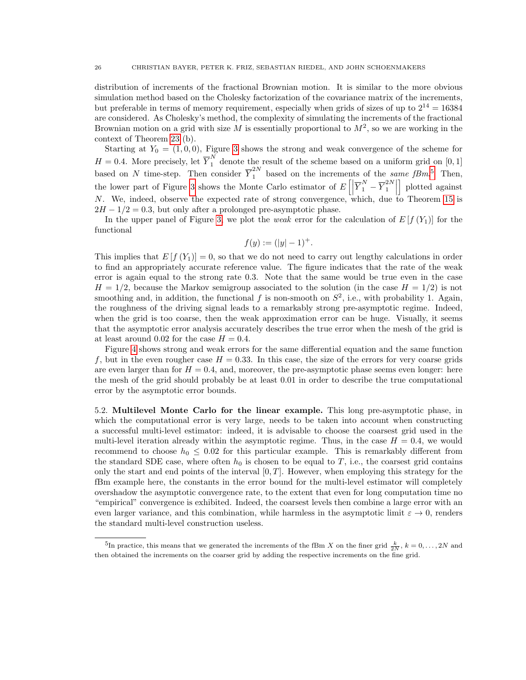distribution of increments of the fractional Brownian motion. It is similar to the more obvious simulation method based on the Cholesky factorization of the covariance matrix of the increments, but preferable in terms of memory requirement, especially when grids of sizes of up to  $2^{14} = 16384$ are considered. As Cholesky's method, the complexity of simulating the increments of the fractional Brownian motion on a grid with size M is essentially proportional to  $M^2$ , so we are working in the context of Theorem [23](#page-22-0) (b).

Starting at  $Y_0 = (1, 0, 0)$ , Figure [3](#page-24-2) shows the strong and weak convergence of the scheme for  $H = 0.4$ . More precisely, let  $\overline{Y}_1^N$  denote the result of the scheme based on a uniform grid on [0, 1] based on N time-step. Then consider  $\overline{Y}_1^{2N}$  based on the increments of the same fBm.<sup>[5](#page-25-0)</sup> Then, the lower part of Figure [3](#page-24-2) shows the Monte Carlo estimator of  $E\left[\left|\overline{Y}_1^N - \overline{Y}_1^{2N}\right|\right]$  $\begin{bmatrix} 2N \\ 1 \end{bmatrix}$ | plotted against N. We, indeed, observe the expected rate of strong convergence, which, due to Theorem [15](#page-13-1) is  $2H - 1/2 = 0.3$ , but only after a prolonged pre-asymptotic phase.

In the upper panel of Figure [3,](#page-24-2) we plot the *weak* error for the calculation of  $E[f(Y_1)]$  for the functional

$$
f(y) := (|y| - 1)^{+}.
$$

This implies that  $E[f(Y_1)]=0$ , so that we do not need to carry out lengthy calculations in order to find an appropriately accurate reference value. The figure indicates that the rate of the weak error is again equal to the strong rate 0.3. Note that the same would be true even in the case  $H = 1/2$ , because the Markov semigroup associated to the solution (in the case  $H = 1/2$ ) is not smoothing and, in addition, the functional f is non-smooth on  $S^2$ , i.e., with probability 1. Again, the roughness of the driving signal leads to a remarkably strong pre-asymptotic regime. Indeed, when the grid is too coarse, then the weak approximation error can be huge. Visually, it seems that the asymptotic error analysis accurately describes the true error when the mesh of the grid is at least around 0.02 for the case  $H = 0.4$ .

Figure [4](#page-26-0) shows strong and weak errors for the same differential equation and the same function f, but in the even rougher case  $H = 0.33$ . In this case, the size of the errors for very coarse grids are even larger than for  $H = 0.4$ , and, moreover, the pre-asymptotic phase seems even longer: here the mesh of the grid should probably be at least 0.01 in order to describe the true computational error by the asymptotic error bounds.

5.2. Multilevel Monte Carlo for the linear example. This long pre-asymptotic phase, in which the computational error is very large, needs to be taken into account when constructing a successful multi-level estimator: indeed, it is advisable to choose the coarsest grid used in the multi-level iteration already within the asymptotic regime. Thus, in the case  $H = 0.4$ , we would recommend to choose  $h_0 \leq 0.02$  for this particular example. This is remarkably different from the standard SDE case, where often  $h_0$  is chosen to be equal to T, i.e., the coarsest grid contains only the start and end points of the interval  $[0, T]$ . However, when employing this strategy for the fBm example here, the constants in the error bound for the multi-level estimator will completely overshadow the asymptotic convergence rate, to the extent that even for long computation time no "empirical" convergence is exhibited. Indeed, the coarsest levels then combine a large error with an even larger variance, and this combination, while harmless in the asymptotic limit  $\varepsilon \to 0$ , renders the standard multi-level construction useless.

<span id="page-25-0"></span><sup>&</sup>lt;sup>5</sup>In practice, this means that we generated the increments of the fBm X on the finer grid  $\frac{k}{2N}$ ,  $k = 0, \ldots, 2N$  and then obtained the increments on the coarser grid by adding the respective increments on the fine grid.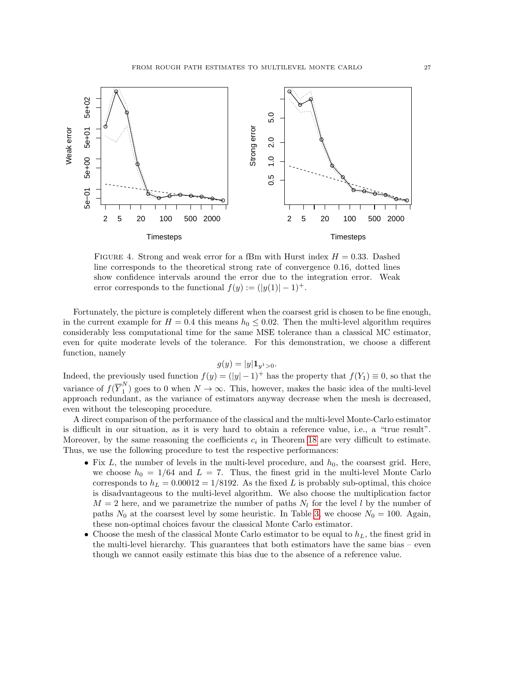

<span id="page-26-0"></span>FIGURE 4. Strong and weak error for a fBm with Hurst index  $H = 0.33$ . Dashed line corresponds to the theoretical strong rate of convergence 0.16, dotted lines show confidence intervals around the error due to the integration error. Weak error corresponds to the functional  $f(y) := (|y(1)| - 1)^+$ .

Fortunately, the picture is completely different when the coarsest grid is chosen to be fine enough, in the current example for  $H = 0.4$  this means  $h_0 \leq 0.02$ . Then the multi-level algorithm requires considerably less computational time for the same MSE tolerance than a classical MC estimator, even for quite moderate levels of the tolerance. For this demonstration, we choose a different function, namely

$$
g(y) = |y| \mathbf{1}_{y^1 > 0}.
$$

Indeed, the previously used function  $f(y) = (|y| - 1)^+$  has the property that  $f(Y_1) \equiv 0$ , so that the variance of  $f(\overline{Y}_1^N)$  $\binom{1}{1}$  goes to 0 when  $N \to \infty$ . This, however, makes the basic idea of the multi-level approach redundant, as the variance of estimators anyway decrease when the mesh is decreased, even without the telescoping procedure.

A direct comparison of the performance of the classical and the multi-level Monte-Carlo estimator is difficult in our situation, as it is very hard to obtain a reference value, i.e., a "true result". Moreover, by the same reasoning the coefficients  $c_i$  in Theorem [18](#page-15-0) are very difficult to estimate. Thus, we use the following procedure to test the respective performances:

- Fix  $L$ , the number of levels in the multi-level procedure, and  $h_0$ , the coarsest grid. Here, we choose  $h_0 = 1/64$  and  $L = 7$ . Thus, the finest grid in the multi-level Monte Carlo corresponds to  $h_L = 0.00012 = 1/8192$ . As the fixed L is probably sub-optimal, this choice is disadvantageous to the multi-level algorithm. We also choose the multiplication factor  $M = 2$  here, and we parametrize the number of paths  $N_l$  for the level l by the number of paths  $N_0$  at the coarsest level by some heuristic. In Table [3,](#page-27-0) we choose  $N_0 = 100$ . Again, these non-optimal choices favour the classical Monte Carlo estimator.
- Choose the mesh of the classical Monte Carlo estimator to be equal to  $h<sub>L</sub>$ , the finest grid in the multi-level hierarchy. This guarantees that both estimators have the same bias – even though we cannot easily estimate this bias due to the absence of a reference value.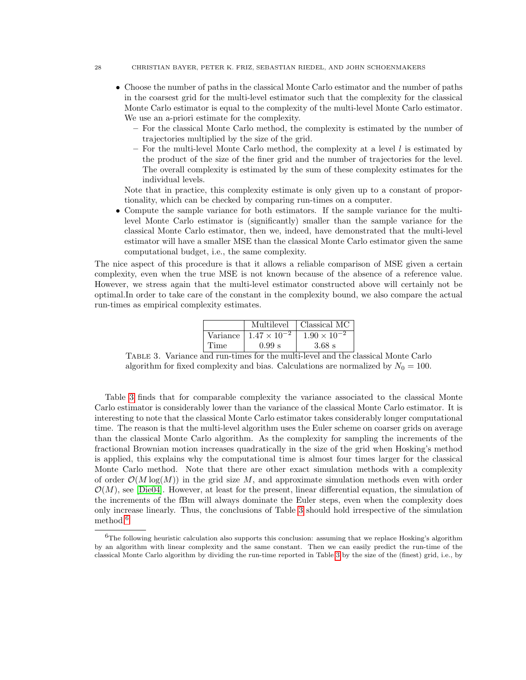#### 28 CHRISTIAN BAYER, PETER K. FRIZ, SEBASTIAN RIEDEL, AND JOHN SCHOENMAKERS

- Choose the number of paths in the classical Monte Carlo estimator and the number of paths in the coarsest grid for the multi-level estimator such that the complexity for the classical Monte Carlo estimator is equal to the complexity of the multi-level Monte Carlo estimator. We use an a-priori estimate for the complexity.
	- For the classical Monte Carlo method, the complexity is estimated by the number of trajectories multiplied by the size of the grid.
	- For the multi-level Monte Carlo method, the complexity at a level  $l$  is estimated by the product of the size of the finer grid and the number of trajectories for the level. The overall complexity is estimated by the sum of these complexity estimates for the individual levels.

Note that in practice, this complexity estimate is only given up to a constant of proportionality, which can be checked by comparing run-times on a computer.

• Compute the sample variance for both estimators. If the sample variance for the multilevel Monte Carlo estimator is (significantly) smaller than the sample variance for the classical Monte Carlo estimator, then we, indeed, have demonstrated that the multi-level estimator will have a smaller MSE than the classical Monte Carlo estimator given the same computational budget, i.e., the same complexity.

The nice aspect of this procedure is that it allows a reliable comparison of MSE given a certain complexity, even when the true MSE is not known because of the absence of a reference value. However, we stress again that the multi-level estimator constructed above will certainly not be optimal.In order to take care of the constant in the complexity bound, we also compare the actual run-times as empirical complexity estimates.

|      | Multilevel                     | Classical MC          |
|------|--------------------------------|-----------------------|
|      | Variance $1.47 \times 10^{-2}$ | $1.90 \times 10^{-2}$ |
| Time | 0.99 s                         | $3.68$ s              |

<span id="page-27-0"></span>Table 3. Variance and run-times for the multi-level and the classical Monte Carlo algorithm for fixed complexity and bias. Calculations are normalized by  $N_0 = 100$ .

Table [3](#page-27-0) finds that for comparable complexity the variance associated to the classical Monte Carlo estimator is considerably lower than the variance of the classical Monte Carlo estimator. It is interesting to note that the classical Monte Carlo estimator takes considerably longer computational time. The reason is that the multi-level algorithm uses the Euler scheme on coarser grids on average than the classical Monte Carlo algorithm. As the complexity for sampling the increments of the fractional Brownian motion increases quadratically in the size of the grid when Hosking's method is applied, this explains why the computational time is almost four times larger for the classical Monte Carlo method. Note that there are other exact simulation methods with a complexity of order  $\mathcal{O}(M \log(M))$  in the grid size M, and approximate simulation methods even with order  $\mathcal{O}(M)$ , see [\[Die04\]](#page-31-9). However, at least for the present, linear differential equation, the simulation of the increments of the fBm will always dominate the Euler steps, even when the complexity does only increase linearly. Thus, the conclusions of Table [3](#page-27-0) should hold irrespective of the simulation method.<sup>[6](#page-27-1)</sup>

<span id="page-27-1"></span> ${}^{6}$ The following heuristic calculation also supports this conclusion: assuming that we replace Hosking's algorithm by an algorithm with linear complexity and the same constant. Then we can easily predict the run-time of the classical Monte Carlo algorithm by dividing the run-time reported in Table [3](#page-27-0) by the size of the (finest) grid, i.e., by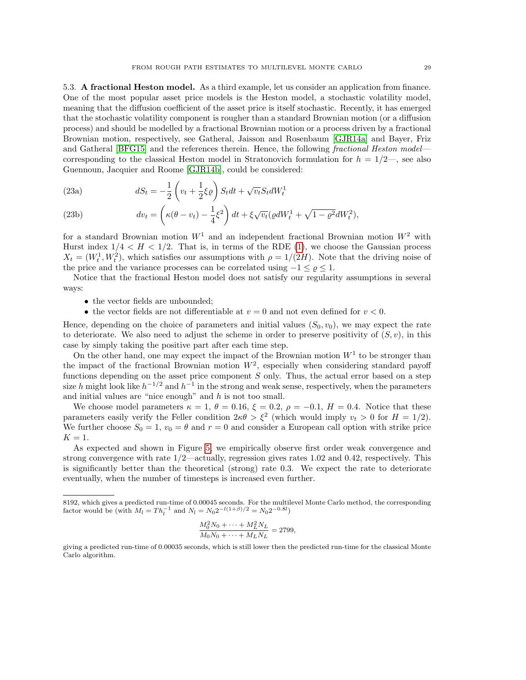5.3. A fractional Heston model. As a third example, let us consider an application from finance. One of the most popular asset price models is the Heston model, a stochastic volatility model, meaning that the diffusion coefficient of the asset price is itself stochastic. Recently, it has emerged that the stochastic volatility component is rougher than a standard Brownian motion (or a diffusion process) and should be modelled by a fractional Brownian motion or a process driven by a fractional Brownian motion, respectively, see Gatheral, Jaisson and Rosenbaum [\[GJR14a\]](#page-32-13) and Bayer, Friz and Gatheral [\[BFG15\]](#page-31-12) and the references therein. Hence, the following fractional Heston model corresponding to the classical Heston model in Stratonovich formulation for  $h = 1/2$ —, see also Guennoun, Jacquier and Roome [\[GJR14b\]](#page-32-14), could be considered:

(23a) 
$$
dS_t = -\frac{1}{2} \left( v_t + \frac{1}{2} \xi \varrho \right) S_t dt + \sqrt{v_t} S_t dW_t^1
$$

(23b) 
$$
dv_t = \left(\kappa(\theta - v_t) - \frac{1}{4}\xi^2\right)dt + \xi\sqrt{v_t}\left(\varrho dW_t^1 + \sqrt{1 - \varrho^2}dW_t^2\right),
$$

for a standard Brownian motion  $W<sup>1</sup>$  and an independent fractional Brownian motion  $W<sup>2</sup>$  with Hurst index  $1/4 < H < 1/2$ . That is, in terms of the RDE [\(1\)](#page-0-1), we choose the Gaussian process  $X_t = (W_t^1, W_t^2)$ , which satisfies our assumptions with  $\rho = 1/(2H)$ . Note that the driving noise of the price and the variance processes can be correlated using  $-1 \leq \varrho \leq 1$ .

Notice that the fractional Heston model does not satisfy our regularity assumptions in several ways:

- the vector fields are unbounded;
- the vector fields are not differentiable at  $v = 0$  and not even defined for  $v < 0$ .

Hence, depending on the choice of parameters and initial values  $(S_0, v_0)$ , we may expect the rate to deteriorate. We also need to adjust the scheme in order to preserve positivity of  $(S, v)$ , in this case by simply taking the positive part after each time step.

On the other hand, one may expect the impact of the Brownian motion  $W<sup>1</sup>$  to be stronger than the impact of the fractional Brownian motion  $W^2$ , especially when considering standard payoff functions depending on the asset price component  $S$  only. Thus, the actual error based on a step size h might look like  $h^{-1/2}$  and  $h^{-1}$  in the strong and weak sense, respectively, when the parameters and initial values are "nice enough" and  $h$  is not too small.

We choose model parameters  $\kappa = 1, \theta = 0.16, \xi = 0.2, \rho = -0.1, H = 0.4$ . Notice that these parameters easily verify the Feller condition  $2\kappa\theta > \xi^2$  (which would imply  $v_t > 0$  for  $H = 1/2$ ). We further choose  $S_0 = 1$ ,  $v_0 = \theta$  and  $r = 0$  and consider a European call option with strike price  $K = 1$ .

As expected and shown in Figure [5,](#page-29-0) we empirically observe first order weak convergence and strong convergence with rate 1/2—actually, regression gives rates 1.02 and 0.42, respectively. This is significantly better than the theoretical (strong) rate 0.3. We expect the rate to deteriorate eventually, when the number of timesteps is increased even further.

$$
\frac{M_0^2 N_0 + \dots + M_L^2 N_L}{M_0 N_0 + \dots + M_L N_L} = 2799,
$$

<sup>8192,</sup> which gives a predicted run-time of 0.00045 seconds. For the multilevel Monte Carlo method, the corresponding factor would be (with  $M_l = Th_l^{-1}$  and  $N_l = N_0 2^{-(1+ \beta)/2} = N_0 2^{-0.8l}$ )

giving a predicted run-time of 0.00035 seconds, which is still lower then the predicted run-time for the classical Monte Carlo algorithm.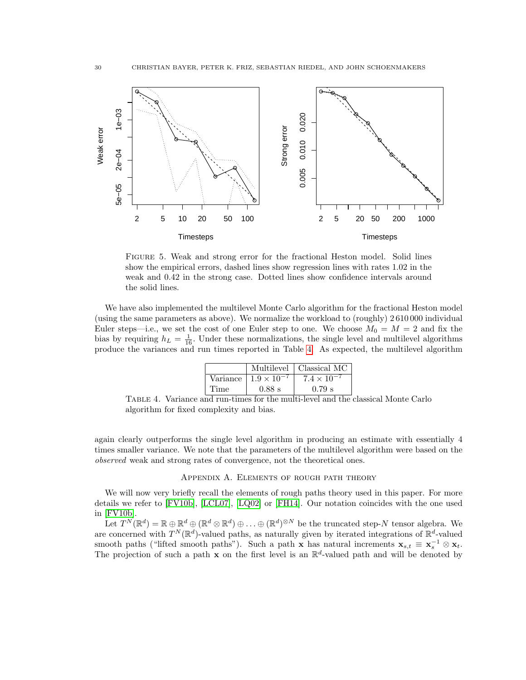

<span id="page-29-0"></span>Figure 5. Weak and strong error for the fractional Heston model. Solid lines show the empirical errors, dashed lines show regression lines with rates 1.02 in the weak and 0.42 in the strong case. Dotted lines show confidence intervals around the solid lines.

We have also implemented the multilevel Monte Carlo algorithm for the fractional Heston model (using the same parameters as above). We normalize the workload to (roughly) 2 610 000 individual Euler steps—i.e., we set the cost of one Euler step to one. We choose  $M_0 = M = 2$  and fix the bias by requiring  $h_L = \frac{1}{16}$ . Under these normalizations, the single level and multilevel algorithms produce the variances and run times reported in Table [4.](#page-29-1) As expected, the multilevel algorithm

|          |                      | Multilevel   Classical MC |
|----------|----------------------|---------------------------|
| Variance | $1.9 \times 10^{-7}$ | $7.4 \times 10^{-7}$      |
| Time     | $0.88$ s             | $0.79$ s                  |

<span id="page-29-1"></span>Table 4. Variance and run-times for the multi-level and the classical Monte Carlo algorithm for fixed complexity and bias.

again clearly outperforms the single level algorithm in producing an estimate with essentially 4 times smaller variance. We note that the parameters of the multilevel algorithm were based on the observed weak and strong rates of convergence, not the theoretical ones.

### Appendix A. Elements of rough path theory

We will now very briefly recall the elements of rough paths theory used in this paper. For more details we refer to [\[FV10b\]](#page-32-2), [\[LCL07\]](#page-32-0), [\[LQ02\]](#page-32-1) or [\[FH14\]](#page-31-0). Our notation coincides with the one used in [\[FV10b\]](#page-32-2).

Let  $T^{N}(\mathbb{R}^{d}) = \mathbb{R} \oplus \mathbb{R}^{d} \oplus (\mathbb{R}^{d} \otimes \mathbb{R}^{d}) \oplus \ldots \oplus (\mathbb{R}^{d})^{\otimes N}$  be the truncated step-N tensor algebra. We are concerned with  $T^N(\mathbb{R}^d)$ -valued paths, as naturally given by iterated integrations of  $\mathbb{R}^d$ -valued smooth paths ("lifted smooth paths"). Such a path x has natural increments  $\mathbf{x}_{s,t} \equiv \mathbf{x}_s^{-1} \otimes \mathbf{x}_t$ . The projection of such a path  $x$  on the first level is an  $\mathbb{R}^d$ -valued path and will be denoted by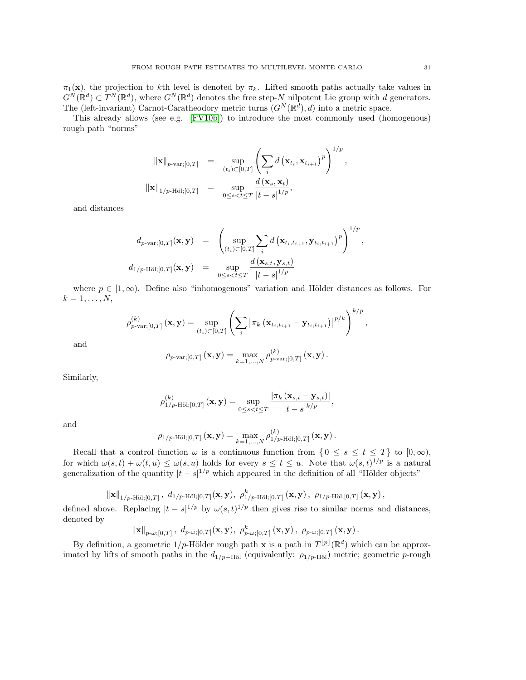$\pi_1(\mathbf{x})$ , the projection to kth level is denoted by  $\pi_k$ . Lifted smooth paths actually take values in  $G^{N}(\mathbb{R}^{d}) \subset T^{N}(\mathbb{R}^{d})$ , where  $G^{N}(\mathbb{R}^{d})$  denotes the free step-N nilpotent Lie group with d generators. The (left-invariant) Carnot-Caratheodory metric turns  $(G^N(\mathbb{R}^d), d)$  into a metric space.

This already allows (see e.g. [\[FV10b\]](#page-32-2)) to introduce the most commonly used (homogenous) rough path "norms"

$$
\|\mathbf{x}\|_{p\text{-var};[0,T]} = \sup_{(t_i)\subset[0,T]} \left(\sum_i d(\mathbf{x}_{t_i}, \mathbf{x}_{t_{i+1}})^p\right)^{1/p},
$$
  

$$
\|\mathbf{x}\|_{1/p\text{-H\"ol};[0,T]} = \sup_{0\leq s
$$

and distances

$$
d_{p\text{-var};[0,T]}(\mathbf{x},\mathbf{y}) = \left(\sup_{(t_i)\subset[0,T]}\sum_i d\left(\mathbf{x}_{t_i,t_{i+1}}, \mathbf{y}_{t_i,t_{i+1}}\right)^p\right)^{1/p}
$$
  

$$
d_{1/p\text{-H\"ol};[0,T]}(\mathbf{x},\mathbf{y}) = \sup_{0\leq s
$$

where  $p \in [1,\infty)$ . Define also "inhomogenous" variation and Hölder distances as follows. For  $k=1,\ldots,N,$ 

$$
\rho_{p\text{-}\text{var};[0,T]}^{(k)}\left(\mathbf{x},\mathbf{y}\right) = \sup_{(t_i)\subset[0,T]} \left( \sum_i \left| \pi_k \left( \mathbf{x}_{t_i,t_{i+1}} - \mathbf{y}_{t_i,t_{i+1}} \right) \right|^{p/k} \right)^{k/p},
$$

and

$$
\rho_{p\text{-}\mathrm{var};[0,T]}(\mathbf{x},\mathbf{y}) = \max_{k=1,\dots,N} \rho_{p\text{-}\mathrm{var};[0,T]}^{(k)}(\mathbf{x},\mathbf{y}).
$$

Similarly,

$$
\rho_{1/p\text{-H\"ol};[0,T]}^{(k)}\left(\mathbf{x},\mathbf{y}\right) = \sup_{0\leq s
$$

and

$$
\rho_{1/p\text{-H\"ol};[0,T]}(\mathbf{x},\mathbf{y}) = \max_{k=1,\ldots,N} \rho_{1/p\text{-H\"ol};[0,T]}^{(k)}(\mathbf{x},\mathbf{y}).
$$

Recall that a control function  $\omega$  is a continuous function from  $\{0 \le s \le t \le T\}$  to  $[0, \infty)$ , for which  $\omega(s,t) + \omega(t,u) \leq \omega(s,u)$  holds for every  $s \leq t \leq u$ . Note that  $\omega(s,t)^{1/p}$  is a natural generalization of the quantity  $|t - s|^{1/p}$  which appeared in the definition of all "Hölder objects"

 $\|\mathbf{x}\|_{1/p\text{-H\"{o}l};[0,T]} \,, \,\, d_{1/p\text{-H\"{o}l};[0,T]}(\mathbf{x},\mathbf{y}),\,\, \rho_{1/p\text{-H\"{o}l};[0,T]}^k\left(\mathbf{x},\mathbf{y}\right),\,\, \rho_{1/p\text{-H\"{o}l};[0,T]}(\mathbf{x},\mathbf{y})\,,$ 

defined above. Replacing  $|t - s|^{1/p}$  by  $\omega(s, t)^{1/p}$  then gives rise to similar norms and distances, denoted by

$$
\|\mathbf{x}\|_{p\text{-}\omega;[0,T]}\,,\,\,d_{p\text{-}\omega;[0,T]}(\mathbf{x},\mathbf{y}),\,\,\rho^k_{p\text{-}\omega;[0,T]}(\mathbf{x},\mathbf{y})\,,\,\,\rho_{p\text{-}\omega;[0,T]}(\mathbf{x},\mathbf{y})\,.
$$

By definition, a geometric  $1/p$ -Hölder rough path x is a path in  $T^{[p]}(\mathbb{R}^d)$  which can be approximated by lifts of smooth paths in the  $d_{1/p-H\ddot{o}l}$  (equivalently:  $\rho_{1/p-H\ddot{o}l}$ ) metric; geometric p-rough

,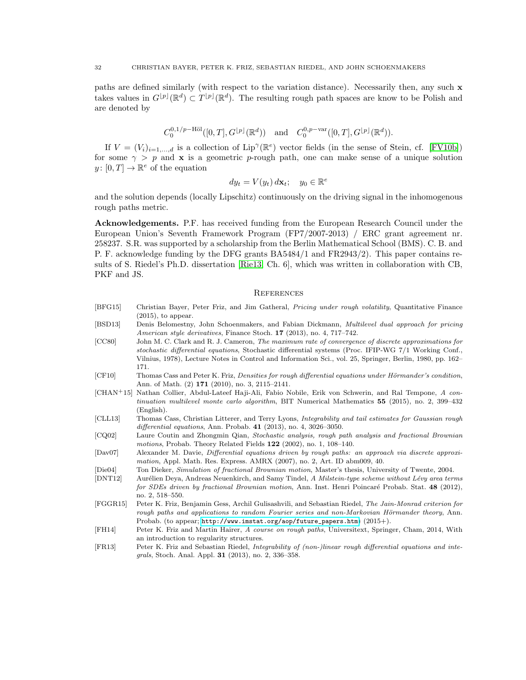paths are defined similarly (with respect to the variation distance). Necessarily then, any such x takes values in  $G^{[p]}(\mathbb{R}^d) \subset T^{[p]}(\mathbb{R}^d)$ . The resulting rough path spaces are know to be Polish and are denoted by

$$
C_0^{0,1/p-\text{H\"ol}}([0,T], G^{\lfloor p \rfloor}(\mathbb{R}^d))
$$
 and  $C_0^{0,p-\text{var}}([0,T], G^{\lfloor p \rfloor}(\mathbb{R}^d)).$ 

If  $V = (V_i)_{i=1,\dots,d}$  is a collection of Lip<sup> $\gamma$ </sup>( $\mathbb{R}^e$ ) vector fields (in the sense of Stein, cf. [\[FV10b\]](#page-32-2)) for some  $\gamma > p$  and **x** is a geometric p-rough path, one can make sense of a unique solution  $y: [0, T] \to \mathbb{R}^e$  of the equation

$$
dy_t = V(y_t) \, d\mathbf{x}_t; \quad y_0 \in \mathbb{R}^e
$$

and the solution depends (locally Lipschitz) continuously on the driving signal in the inhomogenous rough paths metric.

Acknowledgements. P.F. has received funding from the European Research Council under the European Union's Seventh Framework Program (FP7/2007-2013) / ERC grant agreement nr. 258237. S.R. was supported by a scholarship from the Berlin Mathematical School (BMS). C. B. and P. F. acknowledge funding by the DFG grants BA5484/1 and FR2943/2). This paper contains results of S. Riedel's Ph.D. dissertation [\[Rie13,](#page-32-15) Ch. 6], which was written in collaboration with CB, PKF and JS.

### **REFERENCES**

- <span id="page-31-12"></span>[BFG15] Christian Bayer, Peter Friz, and Jim Gatheral, *Pricing under rough volatility*, Quantitative Finance  $(2015)$ , to appear.
- <span id="page-31-10"></span>[BSD13] Denis Belomestny, John Schoenmakers, and Fabian Dickmann, *Multilevel dual approach for pricing* American style derivatives, Finance Stoch. 17 (2013), no. 4, 717–742.
- <span id="page-31-7"></span>[CC80] John M. C. Clark and R. J. Cameron, The maximum rate of convergence of discrete approximations for stochastic differential equations, Stochastic differential systems (Proc. IFIP-WG 7/1 Working Conf., Vilnius, 1978), Lecture Notes in Control and Information Sci., vol. 25, Springer, Berlin, 1980, pp. 162– 171.
- <span id="page-31-6"></span>[CF10] Thomas Cass and Peter K. Friz, Densities for rough differential equations under Hörmander's condition, Ann. of Math. (2) 171 (2010), no. 3, 2115–2141.
- <span id="page-31-11"></span>[CHAN+15] Nathan Collier, Abdul-Lateef Haji-Ali, Fabio Nobile, Erik von Schwerin, and Ral Tempone, A continuation multilevel monte carlo algorithm, BIT Numerical Mathematics 55 (2015), no. 2, 399-432 (English).
- <span id="page-31-4"></span>[CLL13] Thomas Cass, Christian Litterer, and Terry Lyons, Integrability and tail estimates for Gaussian rough differential equations, Ann. Probab. 41 (2013), no. 4, 3026–3050.
- <span id="page-31-1"></span>[CQ02] Laure Coutin and Zhongmin Qian, Stochastic analysis, rough path analysis and fractional Brownian motions, Probab. Theory Related Fields 122 (2002), no. 1, 108–140.
- <span id="page-31-2"></span>[Dav07] Alexander M. Davie, Differential equations driven by rough paths: an approach via discrete approximation, Appl. Math. Res. Express. AMRX (2007), no. 2, Art. ID abm009, 40.
- <span id="page-31-9"></span>[Die04] Ton Dieker, Simulation of fractional Brownian motion, Master's thesis, University of Twente, 2004.
- <span id="page-31-3"></span>[DNT12] Aurélien Deya, Andreas Neuenkirch, and Samy Tindel, A Milstein-type scheme without Lévy area terms for SDEs driven by fractional Brownian motion, Ann. Inst. Henri Poincaré Probab. Stat. 48 (2012), no. 2, 518–550.
- <span id="page-31-8"></span>[FGGR15] Peter K. Friz, Benjamin Gess, Archil Gulisashvili, and Sebastian Riedel, The Jain-Monrad criterion for rough paths and applications to random Fourier series and non-Markovian Hörmander theory, Ann. Probab. (to appear; [http://www.imstat.org/aop/future\\_papers.htm](http://www.imstat.org/aop/future_papers.htm)) (2015+).
- <span id="page-31-0"></span>[FH14] Peter K. Friz and Martin Hairer, A course on rough paths, Universitext, Springer, Cham, 2014, With an introduction to regularity structures.
- <span id="page-31-5"></span>[FR13] Peter K. Friz and Sebastian Riedel, Integrability of (non-)linear rough differential equations and integrals, Stoch. Anal. Appl. 31 (2013), no. 2, 336–358.